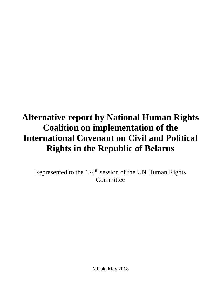# **Alternative report by National Human Rights Coalition on implementation of the International Covenant on Civil and Political Rights in the Republic of Belarus**

Represented to the 124<sup>th</sup> session of the UN Human Rights **Committee** 

Minsk, May 2018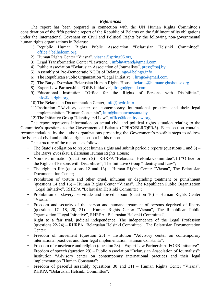# *References*

The report has been prepared in connection with the UN Human Rights Committee's consideration of the fifth periodic report of the Republic of Belarus on the fulfilment of its obligations under the International Covenant on Civil and Political Rights by the following non-governmental human rights organizations in Belarus:

- 1) Republic Human Rights Public Association "Belarusian Helsinki Committee", [office@belhelcom.org](mailto:office@belhelcom.org)
- 2) Human Rights Center "Viasna", [viasna@spring96.org](mailto:viasna@spring96.org)
- 3) Legal Transformation Center "Lawtrend", [infolawtrend@gmail.com](mailto:infolawtrend@gmail.com)
- 4) Public Association "Belarusian Association of Journalists", [press@baj.by](mailto:press@baj.by)
- 5) Assembly of Pro-Democratic NGOs of Belarus, [ngo@belngo.info](mailto:ngo@belngo.info)
- 6) The Republican Public Organization "Legal Initiative", [lirngo@gmail.com](mailto:lirngo@gmail.com)
- 7) The Barys Zvozskau Belarusian Human Rights House, [belarus@humanrightshouse.org](mailto:belarus@humanrightshouse.org)
- 8) Expert Law Partnership "FORB Initiative", [lirngo@gmail.com](mailto:lirngo@gmail.com)
- 9) Educational Institution "Office for the Rights of Persons with Disabilities", [info@disright.org](mailto:info@disright.org)
- 10) The Belarusian Documentation Center, [info@bydc.info](mailto:info@bydc.info)
- 11) Institution "Advisory center on contemporary international practices and their legal implementation "Human Constanta", [info@humanconstanta.by](mailto:info@humanconstanta.by)
- 12) The Initiative Group "Identity and Law", [office@identitylaw.org](mailto:office@identitylaw.org)

The report represents information on actual civil and political rights situation relating to the Committee's questions to the Government of Belarus (CPR/C/BLR/QPR/5). Each section contains recommendations by the author organizations presenting the Government's possible steps to address the issues of civil and political rights set out in this report.

The structure of the report is as follows:

- The State's obligation to respect human rights and submit periodic reports (questions 1 and 3) The Barys Zvozskau Belarusian Human Rights House;
- Non-discrimination (questions 5-9) RHRPA "Belarusian Helsinki Committee", EI "Office for the Rights of Persons with Disabilities", The Initiative Group "Identity and Law";
- The right to life (questions 12 and 13) Human Rights Center "Viasna", The Belarusian Documentation Center;
- Prohibition of torture and other cruel, inhuman or degrading treatment or punishment (questions 14 and 15) – Human Rights Center "Viasna", The Republican Public Organization "Legal Initiative", RHRPA "Belarusian Helsinki Committee";
- Prohibition of slavery, servitude and forced labour (question 16) Human Rights Center "Viasna";
- Freedom and security of the person and humane treatment of persons deprived of liberty (questions 17, 18, 20, 21) – Human Rights Center "Viasna", The Republican Public Organization "Legal Initiative", RHRPA "Belarusian Helsinki Committee";
- Right to a fair trial, judicial independence. The Independence of the Legal Profession (questions 22-24) – RHRPA "Belarusian Helsinki Committee", The Belarusian Documentation Center;
- Freedom of movement (question 25) Institution "Advisory center on contemporary international practices and their legal implementation "Human Constanta";
- Freedom of conscience and religion (question 28) Expert Law Partnership "FORB Initiative"
- Freedom of speech (question 29) Public Association "Belarusian Association of Journalists"; Institution "Advisory center on contemporary international practices and their legal implementation "Human Constanta";
- Freedom of peaceful assembly (questions 30 and 31) Human Rights Center "Viasna", RHRPA "Belarusian Helsinki Committee";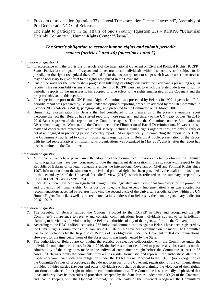- Freedom of association (question 32) Legal Transformation Center "Lawtrend", Assembly of Pro-Democratic NGOs of Belarus;
- The right to participate in the affairs of one's country (question  $33$ ) RHRPA "Belarusian" Helsinki Committee", Human Rights Center "Viasna".

# *The State's obligation to respect human rights and submit periodic reports (articles 2 and 40) (questions 1 and 3)*

## *Information on question 1*

- 1. In accordance with the provisions of article 2 of the International Covenant on Civil and Political Rights (ICCPR), States Parties are obliged to "respect and to ensure to all individuals within its territory and subject to its jurisdiction the rights recognized therein", and "take the necessary steps to adopt such laws or other measures as may be necessary to give effect to the rights recognized in the Covenant".
- 2. One of the ways for the State to show progress in fulfilling its obligations under the Covenant is presenting regular reports. This responsibility is enshrined in article 40 of ICCPR, pursuant to which the State undertakes to submit periodic "reports on the measures it has adopted to give effect to the rights enumerated in the Covenant and the progress achieved in this regard".
- 3. Fourth periodic report to the UN Human Rights Committee was presented by Belarus in 1997, 4 years late. Fifth periodic report was prepared by Belarus under the optional reporting procedure adopted by the HR Committee in October 2009 (A/65/40 (Vol. I), paragraph 40), and presented to the Committee on 30 March 2007.
- 4. Human rights organizations in Belarus that had contributed to the preparation of the present alternative report welcome the fact that Belarus has started reporting more regularly and timely to the UN treaty bodies (in 2015- 2016 Belarus presented the reports to the Committee against Torture, the Committee on the Elimination of Discrimination against Women, and the Committee on the Elimination of Racial Discrimination). However, it is a matter of concern that representatives of civil society, including human rights organizations, are only slightly or not at all engaged in preparing periodic country reports. More specifically, in completing the report to the HRC, the Government had failed to consult human rights organizations in Belarus. A public presentation of the Report with invited representatives of human rights organizations was organized in May 2017, that is, after the report had been submitted to the Committee.

## *Information on question 2*

- 5. More than 20 years have passed since the adoption of the Committee's previous concluding observations. Human rights organizations have been concerned to note the significant deterioration in the situation with respect by the Republic of Belarus of its legal obligations under the International Covenant on Civil and Political Rights since 1997. Information about the situation with civil and political rights has been provided by the coalition in its report to the second cycle of the Universal Periodic Review (2015), which is reflected in the summary prepared by OHCHR (A/HRC/WG.6/22/BLR/3).
- 6. Since 2015, there have been no significant changes in the legislative and institutional framework for the promotion and protection of human rights. On a positive note, the Inter-Agency Implementation Plan was adopted for recommendations accepted by Belarus following the second cycle of the Universal Periodic Review within the UN Human Rights Council, as well as the recommendations addressed to Belarus by the human rights treaty bodies for  $2016 - 2019.$

- 7. The Republic of Belarus ratified the Optional Protocol to the ICCPRР in 1992 and recognized the HR Committee's competence to receive and consider communications from individuals subject to its jurisdiction claiming to be victims of a violation by the Belarus authorities of any of the rights set forth in the Convention.
- 8. According to the HRC's official statistics, 257 individual communications against Belarus have been registered by the Human Rights Committee as at 31 January 2018. 107 of 257 have been examined on the merit; The Committee has found violations by the Republic of Belarus of its obligations under the Covenant in 104 communications. However, for the time being, none of the observations was implemented by the State.
- 9. The authorities of Belarus are continuing the practice of selective collaboration with the Committee under the individual complaints procedure. In 2014-2016, the Belarus authorities failed to provide any observations on the admissibility of the allegations made in the individual complaints brought before the Committee at least in 36 cases. If Belarus submits the comments, they are, as a rule, formalistic and represent the authorities' attempt to justify non-compliance with their obligations under the 1966 Optional Protocol to the ICCPR (non-recognition of the Committee's rules of procedure, as they do not form part of the Covenant; registration of the communications provided by third parties (lawyers and other individuals) on behalf of those claiming the violation of their rights, constitutes an abuse of the right to submit a communication; etc.). The Committee has repeatedly emphasized that it has authority over its own rules of procedure accepted by the State Parties under article 39 (2) of the Covenant, and that in keeping with the Optional Protocol, the State party of the Covenant recognizes the Committee's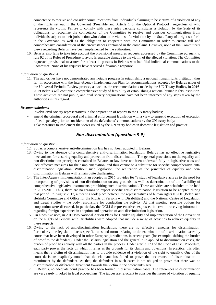competence to receive and consider communications from individuals claiming to be victims of a violation of any of the rights set out in the Covenant (Preamble and Article 1 of the Optional Protocol), regardless of who represents the victim. Failure to comply with these rules basically constitutes a violation by the State of its obligations to recognize the competence of the Committee to receive and consider communications from individuals subject to their jurisdiction who claim to be victims of a violation by the State Party of a right set forth in the Covenant, as well as the obligation to cooperate with the Committee in order to ensure full and comprehensive consideration of the circumstances contained in the complaint. However, none of the Committee's views regarding Belarus have been implemented by the authorities.

10. Belarus also fails to take into account the provisional measures requests addressed by the Committee pursuant to rule 92 of its Rules of Procedure to avoid irreparable damage to the victim of the alleged violation. The Committee requested provisional measures for at least 11 persons in Belarus who had filed individual communications to the Committee. None of his requests have received a favorable response.

#### *Information on question 4*

11. The authorities have not demonstrated any notable progress in establishing a national human rights institution thus far. In accordance with the Inter-Agency Implementation Plan for recommendations accepted by Belarus under of the Universal Periodic Review process, as well as the recommendations made by the UN Treaty Bodies, in 2016- 2019 Belarus will continue a comprehensive study of feasibility of establishing a national human rights institution. These activities are not public, and civil society organizations have not been informed of any steps taken by the authorities in this regard.

#### *Recommendations:*

- Involve civil society representatives in the preparation of reports to the UN treaty bodies;
- amend the criminal procedural and criminal enforcement legislation with a view to suspend execution of execution of death penalty prior to consideration of the defendants' communications by the UN treaty body;
- Take measures to implement the views issued by the UN treaty bodies in domestic legislation and practice.

# *Non-discrimination (questions 5-9)*

- 12. So far, a comprehensive anti-discrimination law has not been adopted in Belarus.
- 13. Owing to the absence of a comprehensive anti-discrimination legislation, Belarus has no effective legislative mechanisms for ensuring equality and protection from discrimination. The general provisions on the equality and non-discrimination principles contained in Belarusian law have not been addressed fully in legislative texts and lack effective measures for their implementation, and thus cannot be a substitute for specific comprehensive antidiscrimination legislation. Without such legislation, the realization of the principles of equality and nondiscrimination in Belarus will remain quite challenging.
- 14. The Inter-Agency Implementation Plan adopted in 2016 provides for "a study of legislative acts as to the need for incorporating of provisions of non-discrimination on any grounds, as well as determination of the feasibility of comprehensive legislative instruments prohibiting such discrimination". These activities are scheduled to be held in 2017-2019. Thus, there are no reasons to expect specific anti-discrimination legislation to be adopted during that period. In August 2017, a meeting took place between the representatives of human rights NGOs (Belarusian Helsinki Committee and Office for the Rights of Persons with Disabilities) and the National Centre of Legislation and Legal Studies – the body responsible for conducting the activity. At that meeting, possible options for cooperation were discussed. In particular, the NCLLS representatives expressed interest in receiving information regarding foreign experience in adoption and operation of anti-discrimination legislation.
- 15. On a positive note, in 2017 two National Action Plans for Gender Equality and implementation of the Convention on the Rights of Persons with Disabilities were adopted that include a range of activities to achieve equality in these respects.
- 16. Owing to the lack of anti-discrimination legislation, there are no effective remedies for discrimination. Particularly, the legislation lacks specific rules and norms relating to the examination of discrimination cases by courts that have been developed in other European jurisdictions in recent years (for example, shifting the burden of proof to the defendant). Under the Belarus legislation and the general rule applied to discrimination cases, the burden of proof lies equally with all the parties in the process. Under article 179 of the Code of Civil Procedure, each party proves the facts on which it relies as the grounds for its claims and objections. In practice, this often means that a victim of discrimination has to provide evidence of a violation of the right to equality. One of the court decisions explicitly noted that the claimant has failed to prove the occurrence of discrimination in recruitment by the defendant. At that, the defendant in such cases is not obliged to prove that there was no discrimination or differential treatment towards the victim in the defendant's acts.
- 17. In Belarus, no adequate court practice has been formed in discrimination cases. The references to discrimination are very rarely invoked in legal proceedings. The judges are reluctant to consider the issues of violation of equality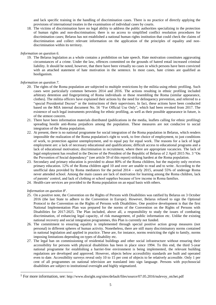and lack specific training in the handling of discrimination cases. There is no practice of directly applying the provisions of international treaties in the examination of individual cases by courts.

18. The victims of discrimination have no legal ability to address the public authorities specializing in the protection of human rights and non-discrimination; there is no access to simplified conflict resolution procedures for discrimination cases; Belarus has not established a national human rights institution that could check the claims of discrimination and collect relevant information on the application of the principles of equality and nondiscrimination within its territory.

## *Information on question 6.*

19. The Belarus legislation as a whole contains a prohibition on hate speech. Hate motivation constitutes aggravating circumstances of a crime. Under the law, offences committed on the grounds of hatred entail increased criminal liability. It should be noted, however, that there have been virtually no cases in which persons have been convicted with an attached statement of hate motivation in the sentence. In most cases, hate crimes are qualified as hooliganism.

## *Information on question 7.*

- 20. The rights of the Roma population are subjected to multiple restrictions by the militia using ethnic profiling. Such cases were particularly common between 2014 and 2016. The actions resulting in ethnic profiling included arbitrary detention and fingerprinting of Roma individuals or those resembling the Roma (similar appearance, clothes). The militia officers have explained their actions by the need for delinquency prevention, and referred to a "special Presidential Decree" or the instructions of their supervisors. In fact, these actions have been conducted based on the MIA internal document No. 56 "For Official Use Only", which had been revoked from 2017. The existence of such legal instruments providing for ethnic profiling, as well as their possible appearance in future, is of the utmost concern.
- 21. There have been information materials distributed (publications in the media, leaflets calling for ethnic profiling) spreading hostile anti-Roma prejudices among the population. These measures are not conducive to social integration of the Roma population.
- 22. At present, there is no national programme for social integration of the Roma population in Belarus, which renders impossible the realization of the Roma population's right to work, to free choice of employment, to just conditions of work, to protection against unemployment, and to equal pay for equal work. The reasons for a lack of legal employment are: a lack of necessary educational and qualifications; difficult access to educational programs and a lack of educational motivation; discrimination in recruitment, where there are appropriate vacancies. The lack of legal employment has resulted in the Decree of the President of the Republic of Belarus of 2 April 2015 No. 3 "On the Prevention of Social dependency" (see article 59 of this report) striking hardest at the Roma population.
- 23. Secondary and primary education is provided to about 80% of the Roma children, but the majority only receives primary education. 12% of the Roma children aged 10 and over are unable to read and to write. According to the unofficial data provided by Roma mediators for the period 2014 – early 2015, around 55% of underage Roma never attended school. Among the main causes are lack of motivation for learning among the Roma children, lack of parents' control, and lack of clothing or school supplies because of low income in Roma families.
- 24. Health-care services are provided to the Roma population on an equal basis with others.

*Information on question 8 1 .*

-

- 25. On a positive note, the Convention on the Rights of Persons with Disabilities was ratified by Belarus on 3 October 2016 (the last State to adhere to the Convention in Europe). However, Belarus refused to sign the Optional Protocol to the Convention on the Rights of Persons with Disabilities. One positive development is that the first National Implementation Plan was prepared for the norms of the Convention on the Rights of Persons with Disabilities for 2017-2025. The Plan included, above all, a responsibility to study the issues of combating discrimination, of enhancing legal capacity, of risk management, of public information etc. Unlike the existing national recovery and social integration programmes, this Plan is currently not funded.
- 26. The commitment to ensuring equality is implemented through special positive action group measures (not personal) in different spheres of human activity. Nonetheless, there are still many discriminatory norms contained in national legislation and applied in practice. These are, for instance, norms restricting the right to family, norms imposing limitations depending on types of disability etc.
- 27. The legal ban on commissioning of residential buildings and other social infrastructure without ensuring their accessibility for persons with physical disabilities has been in place since 1994. To this end, the third 5-year national programme for establishing a barrier-free environment is being implemented, the relevant building regulations are developed and approved. However, objects below accessibility standards are built and operated even to date. Accessibility surveys reveal only 10 to 15 per cent of objects to be relatively accessible. Only 1 per cent of all programmes on national television are translated into sign language. Persons with psychosocial disabilities are subject to institutional oversight and highly stigmatized.

<sup>1</sup> For more information, see: http://www.disright.org/sites/default/files/source/07.05.2016/nulevoy\_otchet.pdf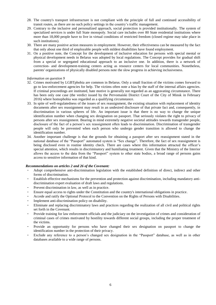- 28. The country's transport infrastructure is not compliant with the principle of full and continued accessibility of transit routes, as there are no such policy settings in the country's traffic management.
- 29. Contrary to the inclusive and personalized approach, social protection is provided institutionally. The system of specialized services is under full State monopoly. Social care includes over 80 State residential institutions where more than 18,000 people have to live in virtual conditions of restricted freedom (closed regime may take place in such institutions).
- 30. There are many positive action measures in employment. However, their effectiveness can be measured by the fact that only about one third of employable people with mildest disabilities have found employment.
- 31. On a positive note, the Concept for the development of inclusive education for persons with special mental or physical development needs in Belarus was adopted by local regulations. The Concept provides for gradual shift from a special or segregated educational approach to an inclusive one. In addition, there is a network of correction- and development-training centers acting as resource centers for local communities. Nonetheless, parents' organizations of physically disabled persons note the slow progress in achieving inclusiveness.

## *Information on question 9*

- 32. Crimes motivated by LGBTphobia are common in Belarus. Only a small fraction of the victims comes forward to go to law-enforcement agencies for help. The victims often note a bias by the staff of the internal affairs agencies. If criminal proceedings are instituted, hate motive is generally not regarded as an aggravating circumstance. There has been only one case (the verdict issued by the Pervomaiski District Court of the City of Minsk in February 2016) where homophobia was regarded as a qualifying circumstance.
- 33. In spite of well-regulatedness of the issues of sex reassignment, the existing situation with replacement of identity documents after sex reassignment may result in an undesired disclosure of that private fact and, consequently, in discrimination in various spheres of life. An important issue is that there is no way to change the unique identification number when changing sex designation on passport. That seriously violates the right to privacy of persons after sex reassignment. Bearing in mind extremely negative societal attitudes towards transgender people, disclosure of the fact of a person's sex reassignment often leads to discrimination. Discrimination of transgender people will only be prevented when each person who undergo gender transition is allowed to change the identification number.
- 34. Another important challenge is that the grounds for obtaining a passport after sex reassignment stated in the national database of the "Passport" automated system is "Sex change". Therefore, the fact of sex reassignment is being disclosed even in routine identity check. There are cases where this information attracted the officer's special attention, which results in discriminatory and humiliating treatment. Given that the Ministry of the Interior allows the access to the data from the "Passport" system to other state bodies, a broad range of persons gains access to sensitive information of that kind.

#### *Recommendations on articles 2 and 26 of the Covenant:*

- Adopt comprehensive anti-discrimination legislation with the established definition of direct, indirect and other forms of discrimination.
- Establish effective mechanisms for the prevention and protection against discrimination, including mandatory antidiscrimination expert evaluation of draft laws and regulations.
- Prevent discrimination in law, as well as in practice.
- Ensure equal access to rights under the Constitution and the country's international obligations in practice.
- Accede and ratify the Optional Protocol to the Convention on the Rights of Persons with Disabilities.
- Implement anti-discrimination policy on disability.
- Eliminate and replacing discriminatory laws and practices regarding the realization of all civil and political rights set forth in the Covenant.
- Provide training for law enforcement officials and the judiciary on the investigation of crimes and consideration of criminal cases of crimes motivated by hostility towards different social groups, including the proper treatment of the victims.
- Provide an opportunity for persons who have changed their sex designation on passport to change the identification number in the protection of their privacy.
- Exclude any reference to a person's changed sex designation in the "Passport" database, as well as in other databases available to a wide range of persons.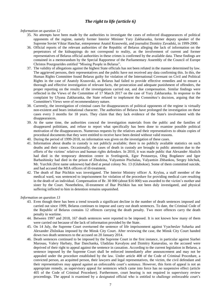# *The right to life (article 6)*

*Information on question 12*

- 35. No attempts have been made by the authorities to investigate the cases of enforced disappearances of political opponents of the regime, namely former Interior Minister Yury Zakharanka, former deputy speaker of the Supreme Soviet Viktar Hanchar, entrepreneur Anatol Krasowski, and journalist Dzmitry Zavadski, in 1999-2000.
- 36. Official reports of the relevant authorities of the Republic of Belarus alleging the lack of information on the perpetrators of the kidnappings do not correspond to reality, as the involvement of current and former representatives of Belarus official authorities in these crimes is confirmed by the available data. These findings are contained in a memorandum by the Special Rapporteur of the Parliamentary Assembly of the Council of Europe Christos Pourgourides entitled "Missing People in Belarus".
- 37. The validity of allegations against the highest State officials has not been refuted in the manner determined by law. The aggrieved persons, their representatives and the public have not received any data confirming this. In this, the Human Rights Committee found Belarus guilty for violation of the International Covenant on Civil and Political Rights in the case of Anatoly Krasovski, as Belarus had failed to provide effective remedies and to ensure a thorough and effective investigation of relevant facts, the prosecution and adequate punishment of offenders, the proper reporting on the results of the investigations carried out, and due compensation. Similar findings were reflected in the Views of the Committee of 17 March 2017 on the case of Yury Zakharanka. In response to the complaint by Ulyana Zakharanka, the State refused to implement the Committee's decision, arguing that the Committee's Views were of recommendatory nature.
- 38. Currently, the investigation of criminal cases for disappearances of political opponents of the regime is virtually non-existent and bears imitational character. The authorities of Belarus have prolonged the investigation on these cases every 3 months for 18 years. They claim that they lack evidence of the State's involvement with the disappearances.
- 39. At the same time, the authorities conceal the investigation materials from the public and the families of disappeared polititians, and refuse to report what specifically has been done to examine possible political motivation of the disappearances. Numerous requests by the relatives and their representatives to obtain copies of procedural documents that they were entitled to receive have been denied without valid reasons.
- 40. During the period of 1999-2018, no information was given on the investigation of these cases.
- 41. Information about deaths in custody is not publicly available; there is no publicly available statistics on such deaths and their causes. Occasionally, the cases of death in custody are brought to public attention due to the efforts of the victims' relatives and human rights defenders. In 2010, it was made public that Alexander Akulich had died in the temporary detention centre in Svetlogorsk, Egor Protasenya, Oleg Bogdanov and Igor Barbashinsky had died in the prison of Zhodzina, Valyantsin Pischalau, Valyantsin Zhbankou, Sergey Ishchuk, Mr. Yurchik (first name unknown) had died at penal colony No. 13 (Glubokoe). Some of them committed suicide, and had accused the MIA officers of ill-treatment.
- 42. The death of Ihar Ptichkin was investigated. The Interior Ministry officer A. Krylou, a staff member of the medical ward, was sentenced to imprisonment for violation of the procedure for providing medical care resulting in the death of an individual. Compensation of Br. 30 000 (about \$16 000) was awarded to the victim's mother and sister by the Court. Nonetheless, ill-treatment of Ihar Ptichkin has not been duly investigated, and physical suffering inflicted to him in detention remains unpunished.

- 43. Even though there has been a trend towards a significant decline in the number of death sentences imposed and carried out since 1999, Belarus continues to impose and carry out death sentences. To date, the Criminal Code of the Republic of Belarus contains 12 offences carrying the death penalty. Two more offences carry the death penalty in wartime.
- 44. Between 1997 and 2018, 167 death sentences were reported to be imposed. It is not known how many of them were carried out because of the lack of information provided by the State.
- 45. On 14 July, the Supreme Court overturned the sentence of life imprisonment against Vyacheslav Suharka and Alexander Zhilnikau imposed by the Minsk City Court. After reviewing the case, the Minsk City Court handed down two death sentences to the accused on 20 January 2014.
- 46. Death sentences continued to be imposed by the Supreme Court in the first instance, in particular against Siarhei Marosau, Valery Harbaty, Ihar Danchanka, Uladzlau Kavalyou and Dzmitry Kanavalau, so the accused were deprived of their right to appeal against the sentence in cassation. According to the current legislation in Belarus, a sentence imposed by the Supreme Court shall be enforced immediately after announcement and may not be appealed under the procedure established by the law. Under article 408 of the Code of Criminal Procedure, a convicted person, an acquitted person, their lawyers and legal representatives, the victim, the civil defendant and their representatives may appeal against an enforceable court's sentence. However, this form of appeal is not an appropriate remedy, as supervisory appeal for sentences which came into force has no suspensive effect (article 405 of the Code of Criminal Procedure). Furthermore, court hearing is not required in supervisory review proceedings. The appeal is examined by a designated official who is entitled to challenge enforceable court's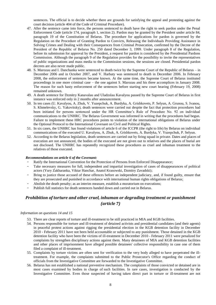sentences. The official is to decide whether there are grounds for satisfying the appeal and protesting against the court decision (article 404 of the Code of Criminal Procedure).

- 47. After the sentence came into force, the persons sentenced to death have the right to seek pardon under the Penal Enforcement Code (article 174, paragraph 1, section 2). Pardon may be granted by the President under article 84, paragraph 19 of the Constitution of Belarus. The procedure for applications for pardon is governed by the Regulation on the Procedure of Granting Pardon to Convicts, Releasing the Individuals Providing Assistance in Solving Crimes and Dealing with their Consequences from Criminal Prosecution, confirmed by the Decree of the President of the Republic of Belarus No. 250 dated December 3, 1999. Under paragraph 8 of the Regulation, before its submission for approval by the President, a request for pardon is considered by the Presidential Pardons Commission. Although the paragraph 9 of the Regulation provides for the possibility to invite the representatives of public organizations and mass media to the Commission sessions, the sessions are closed. Presidential pardon decrees are also never made public.
- 48. S. Marozau and I. Danchanka were sentenced to death twice by the Supreme Court of the Republic of Belarus in December 2006 and in October 2007, and V. Harbaty was sentenced to death in December 2006. In February 2008, the enforcement of sentences became known. At the same time, the Supreme Court of Belarus instituted proceedings in one more criminal case – the one against S. Marozau and his three accomplices in January 2008. The reason for such hasty enforcement of the sentences before starting new court hearing (February 19, 2008) remained unknown.
- 49. A death sentence for Dzmitry Kanavalau and Uladzslau Kavalyou passed by the Supreme Court of Belarus in first instance was enforced only in 2 months after announcement.
- 50. In ten cases (U. Kavalyou, A. Zhuk, V. Yuzepchuk, A. Burdyka, A. Grishkovets, P. Selyun, A. Grunou, S. Ivanou, S. Khmelevsky, G. Yakovitsky), death sentences were carried out despite the fact that protection procedures had been initiated for persons sentenced under the HR Committee's Rule of Procedure No. 92 on individual communications to the UNHRC. The Belarus Government was informed in writing that the procedures had begun. Failure to implement these HRC procedures points to violation of the international obligations of Belarus under the Optional Protocol to the International Covenant on Civil and Political Rights.
- 51. In six cases, the UNHRC has found violations of article 6 of the ICCPR (the right to life) by Belarus on individual communications of the executed U. Kavalyou, A. Zhuk, A. Grishkovets, A. Burdyka, V. Yuzepchuk, P. Selyun.
- 52. According to the Belarus legislation, death sentences are carried out by firing squad in private. Dates and places of execution are not announced, the bodies of the executed are not given out to relatives and the places of burial are not disclosed. The UNHRC has repeatedly recognized these procedures as cruel and inhuman treatment to the relatives of those executed.

#### *Recommendations on article 6 of the Covenant:*

- Ratify the International Convention for the Protection of Persons from Enforced Disappearance;
- Take necessary measures for full, independent and impartial investigation of cases of disappearances of political actors (Yury Zakharanka, Viktar Hanchar, Anatol Krasowski, Dzmitry Zavadski);
- Bring to justice those accused of these offences before an independent judiciary, and, if found guilty, ensure that they are prosecuted and punished in accordance with international human rights obligations of Belarus;
- Abolish the death penalty; as an interim measure, establish a moratorium on executions;
- Publish full statistics for death sentences handed down and carried out in Belarus.

# *Prohibition of torture and other cruel, inhuman or degrading treatment or punishment (article 7)*

#### *Information on questions 14 and 15*

- 53. There are clear reports of torture and ill-treatment to be still practiced in MIA and KGB facilities.
- 54. Persons responsible for torture and ill-treatment of detained activists and presidential candidates (and their agents) in peaceful protest actions against rigging the presidential election in the KGB detention facility in December 2010 - February 2011 have not been held accountable or subjected to any punishment. Those detained in the KGB detention facility who have been the victims of ill-treatment in December 2010 - February 2011 were penalized for complaints by strengthen disciplinary actions against them. Many detainees of MIA and KGB detention facilities and other places of imprisonment have alleged possible detainees' collective responsibility in case one of them filed a complaint of ill-treatment.
- 55. Complaints by torture victims are often sent for verification to the very body alleged to have perpetrated the illtreatment. For example, the complaints submitted to the Public Prosecutor's Office regarding the conduct of officials from the Investigative Committee are forwarded to the Investigative Committee.
- 56. Belarus has not established a national preventive mechanism. The complaints of those convicted or detained are in most cases examined by bodies in charge of such facilities. In rare cases, investigation is conducted by the Investigative Committee. Even those suspected of having taken direct part in torture or ill-treatment are not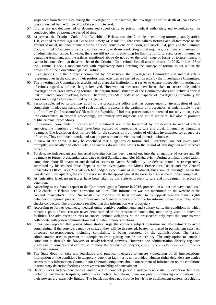suspended from their duties during the investigation. For example, the investigation of the death of Ihar Ptichkin was conducted by the Office of the Prosecutor General.

- 57. Injuries are not documented or documented superficially by prison medical authorities, and expertizes can be conducted after a reasonable period of time.
- 58. At present, the Criminal Code of the Republic of Belarus contains 2 articles mentioning tortures, namely article 128, entitled "Crimes Against Peace and Safety of Mankind", that criminalizes tortures and ill-treatment on the ground of racial, national, ethnic reasons, political convictions or religion, and article 394, part 3 of the Criminal Code, entitled "Coercion to testify", applicable only to those conducting initial inquiries, preliminary investigation or administering justice. However, there are still no norms providing for liability for torture and cruel, inhuman or degrading treatment, and the articles mentioned above do not cover the total range of forms of torture, hence, it cannot be concluded that these articles of the Criminal Code criminalize all acts of torture. In 2015, article 128 of the Criminal Code is supplemented with explanatory notes defining the concept of torture as set out in the provisions of the Convention against Torture.
- 59. Investigations into the offences committed by prosecutors, the Investigative Committee and internal affairs representatives in the course of their professional activities are carried out directly by the Investigative Committee.
- 60. The Investigative Committee is established as a special institution that serves to ensure independent investigation of crimes regardless of the charges involved. However, no measures have been taken to ensure independent investigation of cases involving torture. The organizational structure of the Committee does not include a special unit to handle cases involving torture. Therefore, this State body is not capable of investigating impartially the cases involving torture committed by its agents.
- 61. Persons subjected to torture may apply to the procurator's office that has competence for investigation of such complaints. Inadequate handling of such complaints concerns the partiality of prosecutors, as under article 4, part 4 of the Law On Prosecutor's Offices in the Republic of Belarus, prosecutors are intended not only to supervise law enforcement in pre-trial proceedings, preliminary investigations and initial inquiries, but also to promote public criminal proceedings.
- 62. Furthermore, complaints of torture and ill-treatment are often forwarded by prosecutors to internal affairs agencies, the members of which have been accused of perpetrating torture and cruel, inhuman or degrading treatment. The legislation does not provide for the suspension from duties of officials investigated for alleged use of torture. They continue to work, and can put pressure on the victims and potential witnesses.
- 63. In view of the above, it may be concluded that allegations of torture and ill-treatment are not investigated promptly, impartially and effectively, and victims do not have access to the record of investigation and effective remedies.
- 64. To date, no independent and impartial investigation has been carried out into the allegations of torture and illtreatment to former presidential candidates Andrei Sannikau and Ales Mikhalevich. During criminal investigation, complaints about ill-treatment and denial of access to Andrei Sannikau by the defense council were repeatedly submitted by his council Pavel Sapelka to the investigator, the Minsk Prosecutor's Office and the General Prosecutor's Office. Ales Mikhalevich had lodged a complaint of ill-treatment, but criminal investigation on this was denied. Subsequently, the court did not satisfy the appeal against the order to dismiss the criminal complaint.
- 65. At legislative level, no measures have been taken by the State to prevent torture and ill-treatment in places of detention.
- 66. According to the State's report to the Committee against Torture in 2016, prosecution authorities have conducted 1712 checks in Belarus penal correction facilities. This information was not mentioned on the website of the General Prosecutor's Office. No substantive response has been provided to the appeals sent by human rights defenders to regional prosecutor's offices and the General Prosecutor's Office for information on the number of the checks conducted. The prosecutors recalled that this information was proprietary.
- 67. According to former detainees, medical units, punitive confinements and solitary cells, the conditions in which remain a point of concern are never demonstrated to the prosecutors conducting monitoring visits to detention facilities. The administration tries to conceal serious violations, so the prosecutors only meet the convicts who collaborate with prison administration and tell about minor violations.
- 68. It has been reported that prison administration urge the convicts subject to torture and ill-treatment to avoid complaining. If the convicts cannot be coaxed, they will be threatened, beaten, or placed in punishment cells. All prisoners' correspondence, including complaints, is being censored by the administration. The prison administration tries to prevent the complaints from getting outside the territory. The only option to launch a complaint is through the lawyers or newly-released convicts. However, the administration directly regulates visitations to convicts, and can refuse to allow the presence of lawyers, citing the convict's poor health or other fictitious reasons.
- 69. The State does not take any legislative and practical measures to ensure videotaping of all interrogations. Information on the conditions in temporary detention facilities is not provided. Human rights defenders are denied access to this information. Courts do not entertain complaints about concealment of information on the conditions in temporary detention facilities or proves reasonability of concealment.
- 70. Belarus lacks independent bodies authorized to conduct periodic independent visits to detention facilities, including psychiatric hospitals, without prior notice. In Belarus, there are public monitoring commissions, but their powers are extremely limited. The legislation does not provide for visits to confinement centers, psychiatric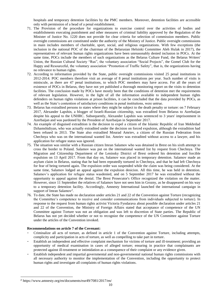hospitals and temporary detention facilities by the PMC members. Moreover, detention facilities are accessible only with permission of a head of a penal establishment.

- 71. The Provision of the procedure for organizations to exercise control over the activities of bodies and establishments executing punishment and other measures of criminal liability approved by the Regulation of the Minister of Justice No. 1220 does not provide for clear criteria for selection of commission members. Public oversight commissions are constituted under the authority of the Ministry of Justice. Public oversight commissions in main includes members of charitable, sport, social, and religious organizations. With few exceptions (the inclusion in the national POC of the chairman of the Belarusian Helsinki Committee Aleh Hulak in 2017), the representatives of relevant human rights organizations have been unreasonably denied inclusion in POCs. At the same time, POCs include the members of such organizations as the Belarus Culture Fund, the Belarus Writers' Union, the Russian Cultural Society "Rus", the voluntary association "Social Projects", the Gomel Club for the Happy and Resourceful, the voluntary association "Promotion of Traffic Safety", that is, the organizations having no relevance to human rights.
- 72. According to information provided by the State, public oversight commissions visited 25 penal institutions in 2012-2014. POC members therefore visit an average of 8 penal institutions per year. Such number of visits is miniscule, as there are 47 penal institutions, to which POC members may have access. For all the years of existence of POCs in Belarus, they have not yet published a thorough monitoring report on the visits to detention facilities. The conclusion made by POCs have mostly been that the conditions of detention met the requirements of relevant legislation. However, in the light of all the information available to independent human rights defenders on human rights violations at prison facilities, it can be concluded that the data provided by POCs, as well as the State's contention of satisfactory conditions in penal institutions, were untrue.
- 73. Belarus has extradited persons to states where they might be subject to the death penalty or torture: on 7 February 2017, Alexander Lapshin, a blogger of Israeli-Russian citizenship, was extradited from Belarus to Azerbaijan despite his appeal to the UNHRC. Subsequently, Alexander Lapshin was sentenced to 3 years' imprisonment in Azerbaijan and was pardoned by the President of Azerbaijan in September 2017.
- 74. An example of disguised extradition is the decision to expel a citizen of the Islamic Republic of Iran Mekhrdad Dzhamshidiyan, who was actually extradited under the decision on forced expulsion, although the extradition had been refused in 2013. The State also extradited Mourad Amriev, a citizen of the Russian Federation from Chechnya who was on the international wanted list. Amriev was extradited without access to a lawyer, and his application for refugee status was ignored.
- 75. The situation was similar with a Russian citizen Imran Salamov who was detained in Brest on his sixth attempt to cross the border to Poland. Salamov was put on the international wanted list by request from Chechnya. The Migration and Citizenship Department of the Leninsky District of Brest ordered his detention and forcible expulsion on 13 April 2017. From that day on, Salamov was placed in temporary detention. Salamov made an asylum claim in Belarus, stating that he had been repeatedly tortured in Chechnya, and that he had left Chechnya for fear of being tortured again. The expulsion order was suspended while the claim was being considered. At the same time, Salamov lodged an appeal against the expulsion desicion. All this time, he was held in detention. Salamov's application for refugee status wasdenied, and on 5 September 2017 he was extradited without the opportunity to appeal against the denial. The Brest Prosecutor's Office recognized the violation on the matter. However, since 11 September the relatives of Salamov have not seen him in Grozny, as he disappeared on his way to a temporary detention facility. Accordingly, Amnesty International launched the international campaign in support of Imran Salamov<sup>2</sup>.
- 76. To date, the State has made no declaration under articles 21 and 22 of the Convention against Torture (recognizing the Committee's competence to receive and consider communications from individuals subjected to torture). In response to the request from human rights activist Victoria Fyodarava about possible declaration under articles 21 and 22 of the Convention, the Ministry of Foreign Affairs stated that acceptance of competence of the UN Committee against Torture was not an obligation and was left to discretion of State parties. The Republic of Belarus has not yet decided whether or not to recognize the competence of the UN Committee against Torture under the articles of the Convention invoked.

#### **Recommendations on article 7 of the Covenant:**

- Criminalize all acts of torture, as defined in article 1 of the Convention against Torture, including attempts, complicity and participation in acts of torture, as well as compelling to take part in torture.
- Establish an independent and effective complaint mechanism for victims of torture and ill-treatment; providing an opportunity of medical examination in cases of alleged torture; ensuring in practice that complainants are protected against ill-treatment or intimidation as a consequence of their complaint or any evidence given.
- Establish independent and impartial governmental and non-governmental national human rights commissions with all necessary authority to monitor the implementation of the Convention, including the opportunity to protect human rights and investigate all complaints of human rights violations.

-

<sup>2</sup> https://www.amnesty.org/en/documents/eur49/7081/2017/en/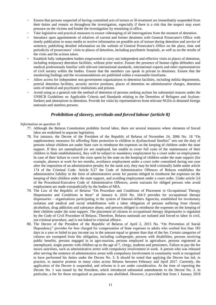- Ensure that persons suspected of having committed acts of torture or ill-treatment are immediately suspended from their duties and remain so throughout the investigation, especially if there is a risk that the suspect may exert pressure on the victims and hinder the investigation by remaining in office.
- Take legislative and practical measures to ensure videotaping of all interrogations from the moment of detention.
- Introduce open appointments of relatives of current and former detainees with General Prosecutor's Office with timely publication in mass-media to receive information on possible acts of torture during detention and service of sentence; publishing detailed information on the website of General Prosecutor's Office on the place, time and periodicity of prosecutors' visits to places of detention, including psychiatric hospitals, as well as on the results of the visits and the actions taken.
- Establish fully independent bodies empowered to carry out independent and effective visits to places of detention, including temporary detention facilities, without prior notice. Ensure the presence of human rights defenders and medical professionals familiar with relevant international standards, international experts and other representatives of civil society within the bodies. Ensure that the members can speak in private to detainees. Ensure that the monitoring findings and the recommendations are published within a reasonable timeframe.
- Allow access for independent non-government organizations to detention facilities, including militia departments, pretrial detention facilities, security service premises, places of detention on administrative charges, detention units of medical and psychiatric institutions and prisons.
- Avoid using as a general rule the method of detention of persons seeking asylum for substantial reasons under the UNHCR Guidelines on Applicable Criteria and Standards relating to the Detention of Refugees and Asylum-Seekers and alternatives to detention. Provide for visits by representatives from relevant NGOs to detained foreign nationals and stateless persons.

# *Prohibition of slavery, servitude and forced labour (article 8)*

- 77. Although the Belarus Constitution prohibits forced labor, there are several instances where elements of forced labor are enshrined in separate legislation.
- 78. For instance, the Decree of the President of the Republic of Belarus of November 24, 2006 No. 18 "On supplementary measures for affording State protection to children in dysfunctional families" sets out the duty of persons whose children are under State care to reimburse the expenses on the keeping of children under the state support. If they are unemployed (or are employed, but unable to cover full costs of the maintenance of their children in State establishments), they will be subject to mandatory employment by a court order on employment. In case of their failure to cover the costs spent by the state on the keeping of children under the state support (for example, absence at work for ten months, avoidance employment under a court order committed during one year after the imposition of an administrative penalty for the same act), they may be held criminally liable under article 174 of the Criminal Code. Article 9.27 the Code of Administrative Offences of Belarus establishes the administrative liability in the form of administrative arrest for parents obliged to reimburse the expenses on the keeping of their children under the state support, and avoiding employment under a court order. Under article 3.6 of the Procedural-Executive Code of Administrative Offences, arrest warrants for obliged persons who avoid employment are made extrajudicially by the bodies of MIA.
- 79. The Law of the Republic of Belarus "On Procedure and Conditions of Placement in Occupational Therapy Dispensaries and Conditions in them" of January 4, 2010 No. 104-З provides for occupational therapy dispensaries – organizations participating in the system of Internal-Affairs Agencies, established for involuntary isolation and medical and social rehabilitation with a labor obligation of persons suffering from chronic alcoholism, drug addiction and substance abuse, and persons obliged to reimburse the expenses on the keeping of their children under the state support. The placement of citizens in occupational therapy dispensaries is regulated by the Code of Civil Procedure of Belarus. Therefore, Belarus nationals are isolated and forced to labor in civil, not criminal procedure, and is not linked to criminal offence.
- 80. The Decree of the President of the Republic of Belarus of April 2, 2015 No. "On Prevention of Social Dependency" provides for fees charged for compensation of State expenses to adults who worked less than 183 days in a year or failed to pay income tax in the amount equal or greater than that of the fee. Certain categories of citizens are exempted from this obligation, including craftspeople, persons with disabilities, persons receiving public benefits, persons engaged in in agro-tourism, persons employed in agriculture, persons registered as unemployed, single parents with children up to the age of 7, clergy, students and pensioners. Failure to pay the fee incurs sanctions, such as administrative arrest with compulsory involvement in work. A person who was released after serving the sentence of administrative arrest with compulsory involvement in community work is recognized to have performed his duties under the Decree No. 3. It should be noted that applying the Decree has led, in practice, to massive protests in many cities across Belarus between February and April 2017. Currently, the application of the Decree is suspended, and reforms to it are under consideration. At the time of reporting the Decree No. 1 was issued by the President, which introduced substantial amendments to the Decree No. 3. In particular, a fee for those recognized as parasites was abolished. However, it provided that from 1 January 2018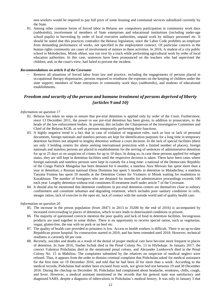non-workers would be required to pay full price of some housing and communal services subsidized currently by the State.

81. Among other common forms of forced labor in Belarus are compulsory participation in community work days (*subbotniks*), involvement of members of State enterprises and educational institutions (including under-age school pupils) in harvesting by order of local executive authorities, unpaid work by military personnel etc. It should be noted that this practices contradict the Belarus legislation, since the Labor Code prohibits an employer from demanding performance of works, not specified in the employment contract. Of particular concern in the human rights community are cases of involvement of minors in these activities. In 2016, A student of a city public school in Molodechno, Minsk oblast, was run over by a truck while performing agricultural work by order of local education authorities. In this case, sentences have been pronounced on the teachers who had supervised the children, and, in the court's view, had failed to prevent the incident.

#### *Recommendations on article 8 of the Covenant:*

Remove all situations of forced labor from law and practice, including the engagements of persons placed in occupational therapy dispensaries, persons required to reimburse the expenses on the keeping of children under the state support; members of State enterprises in community work days (*subbotniks*), and students of educational establishments.

# *Freedom and security of the person and humane treatment of persons deprived of liberty (articles 9 and 10)*

#### *Information on question 17*

- 82. Belarus has taken no steps to ensure that pre-trial detention is applied only by order of the Court. Furthermore, since 13 December 2011, the power to use pre-trial detention has been given, in addition to prosecutors, to the heads of the law enforcement bodies. At present, this includes the Chairperson of the Investigative Committee and Chief of the Belarus KGB, as well as persons temporarily performing their functions.
- 83. A highly negative trend is a fact that in case of violation of migration rules, such as loss or lack of personal documents, [foreign nationals](https://www.linguee.ru/%D0%B0%D0%BD%D0%B3%D0%BB%D0%B8%D0%B9%D1%81%D0%BA%D0%B8%D0%B9-%D1%80%D1%83%D1%81%D1%81%D0%BA%D0%B8%D0%B9/%D0%BF%D0%B5%D1%80%D0%B5%D0%B2%D0%BE%D0%B4/foreign+nationals.html) and [stateless persons](https://www.linguee.ru/%D0%B0%D0%BD%D0%B3%D0%BB%D0%B8%D0%B9%D1%81%D0%BA%D0%B8%D0%B9-%D1%80%D1%83%D1%81%D1%81%D0%BA%D0%B8%D0%B9/%D0%BF%D0%B5%D1%80%D0%B5%D0%B2%D0%BE%D0%B4/stateless+person.html) are kept for identification purposes for a long time in temporary detention facilities not adapted to lengthy detention without a court decision. In the lack of special facilities (there are only 3 holding centres for aliens seeking international protection with a limited number of places), [foreign](https://www.linguee.ru/%D0%B0%D0%BD%D0%B3%D0%BB%D0%B8%D0%B9%D1%81%D0%BA%D0%B8%D0%B9-%D1%80%D1%83%D1%81%D1%81%D0%BA%D0%B8%D0%B9/%D0%BF%D0%B5%D1%80%D0%B5%D0%B2%D0%BE%D0%B4/foreign+nationals.html)  [nationals](https://www.linguee.ru/%D0%B0%D0%BD%D0%B3%D0%BB%D0%B8%D0%B9%D1%81%D0%BA%D0%B8%D0%B9-%D1%80%D1%83%D1%81%D1%81%D0%BA%D0%B8%D0%B9/%D0%BF%D0%B5%D1%80%D0%B5%D0%B2%D0%BE%D0%B4/foreign+nationals.html) and stateless persons are placed in establishments for the serving of sentences of administrative detention for up to 25 days or on suspicion of crimes for up to 10 days. In doing so, in case these persons applied for refugee status, they are still kept in detention facilities until the respective decision is taken. There have been cases where foreign nationals and stateless persons were kept in custody for a long time: a national of the Democratic Republic of the Congo Patrick Mangalua has been detained for 6 months; a stateless Asra Mirwais has spent more than a year in detention; a Russian national Elena Domnina has spent 5 months in detention in Maladechna; a stateless Tatyana Fomina has spent 10 months at the Detention Center for Violators in Minsk waiting for readmition to Kazakhstan. The number of foreigners who are detained for months for administrative proceedings exceeds 100 each year. Lengthy detention without trial constitutes ill-treatment itself under article 7 of the Covenant.
- 84. It should also be mentioned that detention conditions in pre-trial detention centres are themselves close to solitary confinement and constitute inhuman and degrading treatment, which includes poor sanitary conditions in cells, meager ration, lack of exercise in the open air, lack of contact with the outside world and of quality health care.

- 85. The increase in the prison population (from 28471 in 2013 to 35200 by the end of 2016) is accompanied by increased overcrowding in places of detention, which in turn leads to deteriorated conditions in prisons.
- 86. The majority of questioned convicts mention the poor quality and lack of food in detention facilities. Incongruous products are used together in some dishes. There is no opportunity to receive special ration, such as vegetarian, vegan, gluten-free, the one with no pork or no beef etc.
- 87. The quality of health care provided to prisoners is low. Access to health workers is difficult. There is no up-to-date Republican prison hospital. Its construction started in 2010, and has been extended until 2018. However, technical readiness is currently 60 per cent.
- 88. Recently, suicides and deaths as a result of the denial of proper medical care have become more frequent in places of detention. In June 2016, Siarhei Ischuk died in the Penal Colony No. 13 in Hlybokaje. In January 2017, the convict Valentyn Pishchalau died in the mentioned penal colony, and Alexander Lembovich died in the Penal Colony No. 15 in Mahiliou. The complaints submitted by the relatives on suspicion of medical neglect were refused. Thus, it appears from the order to dismiss criminal complaint that Pishchalau asked for medical assistance for the first time on 19 December 2016, and told that he had been ill for more than a week. According to the medical records, Pishchalau had neither been excused from work, nor given bed rest between 19 and 30 December 2016. During the checkup on December 30, Pishchalau had complained about headache, weakness, chills, cough, and fever. However, a medical assistant mentioned in the records that his general state was satisfactory and diagnosed SARS, despite a diagnosis of tuberculosis in Pishchalau's medical history. It was only in January 3 that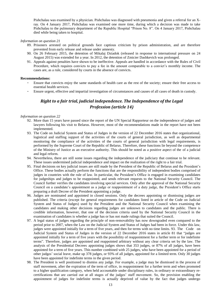Pishchalau was examined by a physician. Pishchalau was diagnosed with pneumonia and given a referral for an Xray. On 4 January 2017, Pishchalau was examined one more time, during which a decision was made to take Pishchalau to the pulmonary department of the Republic Hospital "Prison No. 8". On 4 January 2017, Pishchalau died while being taken to hospital.

#### *Information on question 21*

- 89. Prisoners arrested on political grounds face captious criticism by prison administration, and are therefore prevented from early release and release under amnesty.
- 90. On 26 February 2015, the detention of Mikalaj Dziadok (released in response to international pressure on 24 August 2015) was extended for a year. In 2012, the detention of Zmicier Dashkevich was prolonged.
- 91. Appeals against penalties have shown to be ineffective. Appeals are handled in accordance with the Rules of Civil Procedure, which requires convicts to pay a fee in the amount comparable to a convict's monthly income. The cases are, as a rule, considered by courts in the absence of convicts.

#### **Recommendations:**

- Ensure that convicts enjoy the same standards of health care as the rest of the society; ensure their free access to essential health services.
- Ensure urgent, effective and impartial investigation of circumstances and causes of all cases of death in custody.

# *Right to a fair trial, judicial independence. The Independence of the Legal Profession (article 14)*

- 92. More than 15 years have passed since the report of the UN Special Rapporteur on the independence of judges and lawyers following his visit to Belarus. However, most of the recommendations made in the report have not been implemented.
- 93. The Code on Judicial System and Status of Judges in the version of 22 December 2016 states that organizational, logistical and staffing support of the activities of the courts of general jurisdiction, as well as departmental monitoring the compliance of the activities of the courts of general jurisdiction with legal requirements, is performed by the Supreme Court of the Republic of Belarus. Therefore, these functions lie beyond the competence of the Ministry of Justice as an executive authority. This should be noted as a positive aspect of the of a judicial and legal reform.
- 94. Nevertheless, there are still some issues regarding the independence of the judiciary that continue to be relevant. These issues undermined judicial independence and impact on the realization of the right to a fair trial.
- 95. Final decisions on key judicial issues are still made by the President of the Republic of Belarus and the President's Office. These bodies actually perform the functions that are the responsibility of independent bodies comprised of judges in countries with the rule of law. In particular, the President's Office is engaged in examining candidates for judgeships and judges to be reappointed, and sends relevant requests to the National Security Council. The Council further verifies the candidates involving special services. Only after the approval of the National Security Council on a candidate's appointment as a judge or reappointment of a duty judge, the President's Office starts preparing a draft Decree of the President appointing a judge.
- 96. Judges are nominated and appointed in closed sessions. Only the decrees appointing or dismissing judges are published. The criteria (except for general requirements for candidates listed in article of the Code on Judicial System and Status of Judges) used by the President and the National Security Council when examining the candidates and making other decisions regarding judges are unknown to candidates and the public. There is credible information, however, that one of the decision criteria used by the National Security Council in the examination of candidates is whether a judge has or has not made rulings that suited the Council.
- 97. A legal status of judges regarding the principle of non-removability has now downgraded even compared to the period prior to 2007, when the Law on the Judicial System and Status of Judges had been in force. Under this law, judges were appointed initially for a term of five years, and then for terms with no time limits. 93. The Code on Judicial System and Status of Judges in the version of 22 December 2016 states in article 81 that "judges are appointed initially for a term of five years with the possibility of reappointment for a further term or for indefinite terms". Therefore, judges are appointed and reappointed arbitrary without any clear criteria set by the law. The analysis of the Presidential Decrees appointing judges shows that 353 judges, or 87% of all judges, have been appointed for a term of five years. This number combined with 25 judges, who have been appointed for a period of other judges' social leave, make up 378 judges, or 93% of all judges, appointed for a limited term. Only 30 judges have been appointed for indefinite terms in the given period.
- 98. The President is well positioned to dismiss any judge. For example, a judge may be dismissed in the process of staff movement, after the expiration of the term of office, in reappointment for a further term and when promoted to a higher qualification category, when held accountable under disciplinary rules, in ordinary or extraordinary recertifications that are carried out at all stages of the judges' staff movement. So, the provision enabling the appointment of judges for indefinite terms is actually deprived of value by the fact that judges undergo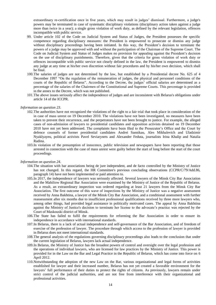extraordinary re-certification once in five years, which may result in judges' dismissal. Furthermore, a judge's powers may be terminated in case of systematic disciplinary violations (disciplinary action taken against a judge more than twice in a year); a single gross violation of work duty, as defined by the relevant legislation, offences incompatible with public service.

- 99. Under article 102 of the Code on Judicial System and Status of Judges, the President possesses the specific competence regarding disciplinary measures: the President is empowered to prosecute or dismiss any judge without disciplinary proceedings having been initiated. In this way, the President's decision to terminate the powers of a judge may be approved with and without the participation of the Chairman of the Supreme Court. The Code on Judicial System and Status of Judges makes no provision for appealing against the President's decision on the use of disciplinary punishments. Therefore, given that the criteria for gross violation of work duty or offences incompatible with public service not clearly defined in the law, the President is empowered to dismiss any judge at any time at his/her own discretion without fair procedures and by his/her own decision, which shall be final.
- 100.The salaries of judges are not determined by the law, but established by a Presidential decree No. 625 of 4 December 1997 "On the regulation of the remuneration of judges, the physical and personnel conditions of the courts of the Republic of Belarus". According to the Decree, the judges' official salaries are determined as a percentage of the salaries of the Chairmen of the Constitutional and Supreme Courts. This percentage is provided in the annex to the Decree, which was not published.
- 101.The above issues seriously affect the independence of judges and are inconsistent with Belarus's obligations under article 14 of the ICCPR.

#### *Information on question 23.*

- 102.The authorities have not recognized the violations of the right to a fair trial that took place in consideration of the in case of mass unrest on 19 December 2010. The violations have not been investigated, no measures have been taken to prevent their recurrence, and the perpetrators have not been brought to justice. For example, the alleged cases of non-admission of lawyers to presidential candidates and opposition activists detained on 19 December 2010 have not yet been addressed. The complaints have been filed to the Prosecutor's Office and the Court by defence counsels of former presidential candidates Andrei Sannikau, Ales Mikhalevich and Uladzimir Nyaklyayeu, political activists Pavel Seviarynets and Alexander Feduta, journalists Irina Khalip and Natalia Radina.
- 103.In violation of the presumption of innocence, public television and newspapers have been reporting that those arrested in connection with the case of mass unrest were guilty before the start of long before the start of the court proceedings.

- 104.The situation with bar associations being de jure independent, and de facto controlled by the Ministry of Justice has not changed. In this regard, the HR Committee's previous concluding observations (CCPR/C/79/Add.86, paragraph 14) have not been implemented or paid attention to.
- 105.In 2017, the independence of lawyers was seriously affected. Several lawyers of the Minsk City Bar Association and the Mahiliow Regional Bar Association were examined by the Ministry of Justice of the Republic of Belarus. As a result, an extraordinary inspection was ordered regarding at least 21 lawyers from the Minsk City Bar Association. The first outcome of this wave of inspections by the Ministry of Justice was a negative assessment received by Anna Bakhtina, a lawyer of the Minsk City Bar Association, and a conditional assessment with further reassessment after six months due to insufficient professional qualifications received by three more lawyers who, among other things, had provided legal assistance in politically motivated cases. The appeal by Anna Bakhtina against the Ministry of Justice's decision to terminate her license to the advocate's practice was rejected by the Court of Maskouski district of Minsk.
- 106.The State has failed to fulfil the requirements for reforming the Bar Association in order to ensure its independence in accordance with international standards.
- 107.In Belarus, there is a lack of actual independence and self-governance of the Bar Association, and of freedom of exercise of the profession of lawyer. The procedure through which access to the profession of lawyer is provided in Belarus does not meet international standards.
- 108.The general analysis of the regulations governing disciplinary proceedings also leads to the conclusion that under the current legislation of Belarus, lawyers lack actual independence.
- 109.In Belarus, the Ministry of Justice has the broadest powers of control and oversight over the legal profession and the operations of individual lawyers, who are licensed for law practices by the Ministry of Justice. This power is provided for in the Law on the Bar and Legal Practice in the Republic of Belarus, which has come into force on 6 April 2012.
- 110.Notwithstanding the adoption of the new Law on the Bar, various organizational and legal forms of activities established for lawyer and their increased number, Belarus has not yet created a favorable environment for the lawyers' full performance of their duties to protect the rights of citizens. As previously, lawyers remain under strict control of the judicial authorities, and are not free from interference with their organizational and professional activities.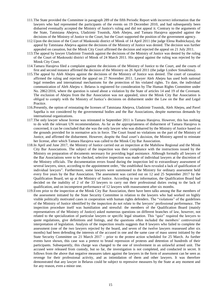- 111.The State provided the Committee in paragraph 289 of the fifth Periodic Report with incorrect information that the lawyers who had represented the participants of the events on 19 December 2010, and had subsequently been disbarred eventually accepted the Ministry of Justice's ruling and did not appeal it. Contrary to the arguments of the State, Tatstsiana Ahejeva, Uladzimir Toustsik, Aleh Ahejeu, and Tamara Harajeva appealed against the decisions of the Ministry of Justice to the Court, but the Court supported the position of the government agency.
- 112.Upon the decision of the Court of Maskouski district of Minsk of 14 April 2011 (the judge Elena Rudnickaya), the appeal by Tatstsiana Ahejeva against the decisions of the Ministry of Justice was denied. The decision was further appealed on cassation, but the Minsk City Court affirmed the decision and rejected the appeal on 21 July 2011.
- 113.The appeal by lawyer Uladzimir Toustsik against the decisions of the Ministry of Justice was denied by the ruling of the Court of Maskouski district of Minsk of 24 March 2011. His appeal against the ruling was rejected by the Minsk City Court.
- 114.Tamara Harajeva filed a complaint against the decisions of the Ministry of Justice to the Court, and the courts of first and second instance affirmed the decision of the Ministry on 26 April 2011 (the judge Lyubov Simakhina).
- 115.The appeal by Aleh Ahejeu against the decisions of the Ministry of Justice was denied. The court of cassation affirmed the ruling and rejected the appeal on 27 November 2011. Lawyer Aleh Ahejeu has used both national legal remedies and international mechanisms for the protection of his violated rights. To date, the individual communication of Aleh Ahejeu v. Belarus is registered for consideration by The Human Rights Committee under No. 2862/2016, where the question is raised about a violation by the State of articles 14 and 19 of the Covenant. The exclusion of Ahejeu from the Bar Association was not appealed, since the Minsk City Bar Association is obliged to comply with the Ministry of Justice's decisions on disbarment under the Law on the Bar and Legal Practice.
- 116.Presently, the option of reinstating the licenses of Tatstsiana Ahejeva, Uladzimir Toustsik, Aleh Ahejeu, and Pavel Sapelka is not considered by the governmental bodies and the Bar Associations, despite numerous demands by international organizations.
- 117.The only lawyer whose license was reinstated in September 2011 is Tamara Harajeva. However, this has nothing to do with the relevant UN recommendation. As far as the appropriateness of disbarment of Tamara Harajeva is concerned, it can be concluded that she was the only lawyer who was disbarred by the Ministry of Justice based on the grounds provided for in normative acts in force. The Court found no violations on the part of the Ministry of Justice, and affirmed the disbarment. However, despite the final court's decision, the Ministry agreed to reinstate her license, after which Tamara Harajeva was called to the Minsk City Bar Association.
- 118.In April and June 2017, the Ministry of Justice carried out an inspection at the Mahiliow Regional and the Minsk City Bar Associations. The subject of the inspection was their compliance with the instructions issued by the Ministry on preparation of documents necessary for providing legal assistance. Although formally all lawyers of the Bar Associations were to be checked, selective inspection was made of individual lawyers at the discretion of the Ministry officials. The documentation errors found during the inspection led to extraordinary assessment of several lawyers, since, according to the appointment order, "the established facts revealed a lack of qualification of individual lawyers". Furthermore, some lawyers were summoned to the Ministry for ordinary assessment held every five years by the Bar Association. The assessment was carried out on 12 and 25 September 2017 by the Qualification Board, set up at the Ministry of Justice. According to our information, the Qualification Board had decided on the inability of 2 of the 33 lawyers to carry out their professional duties owing to the lack of qualification, and on incompetent performance of 12 lawyers with reassessment after six months.
- 119.Even prior to the inspection at the Minsk City Bar Association, there have been talks among the Bar members of the assessment initiated by the State Security Committee in relation to the lawyers who had worked on highly visible politically motivated cases in cooperation with human rights defenders. The "violations" of the guidelines of the Ministry of Justice identified by the inspection do not relate to the lawyers' professional performance. The inspection procedure itself was humiliation and stressful: the members of the Qualification Board (mainly representatives of the Ministry of Justice) asked numerous questions on different branches of law, however, not related to the specialization of particular lawyers or specific legal situation. This "quiz" required the lawyers to quote regulations, give definitions and listings, and the questions often included the members' controversial interpretation of legislation. Analysis of the inspection results suggests that 8 lawyers who failed to complete the assessment (one of the two lawyers rejected by the board, and seven of the twelve lawyers reassessed after six months) had been defending the interests of the accused in one and the same case of mass unrest initiated by the State Security Committee on 21 March 2017 – prior to the protest action scheduled for 25 March. As further events have shown, this case was a pretext to brutal repression of protests and detention of hundreds of their participants. Subsequently, this charge was changed to the one of involvement in an unlawful armed unit. The accused were released from custody, but so far, the investigation is not completed, and conducted in secret. It follows from the above that negative measures taken against the lawyers in the form of assessment can be seen as revenge for their professional activity, and as intimidation of them and other lawyers. It was therefore demonstrated that any lawyer in Belarus could be subject to repressive measures by the State at any moment and for any reason, even a minor one.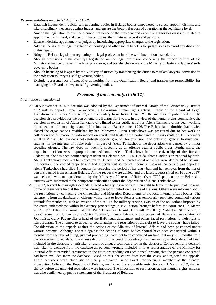#### *Recommendations on article 14 of the ICCPR:*

- Establish independent judicial self-governing bodies in Belarus bodies empowered to select, appoint, dismiss, and take disciplinary measures against judges, and ensure the body's freedom of operation at the legislative level.
- Amend the legislation to exclude a crucial influence of the President and executive authorities on issues related to appointment, dismissal, and disciplining of judges, their material security and pensions.
- Ensure indefinite appointment of judges by introducing appropriate changes to the legislation.
- Address the issues of legal regulation of housing and other social benefits for judges so as to avoid any discretion in this regard.
- Bring the Belarus legislation regulating the legal profession into line with international standards.
- Abolish provisions in the country's legislation on the legal profession concerning the responsibilities of the Ministry of Justice to govern the legal profession, and transfer the duties of the Ministry of Justice to lawyers' selfgoverning bodies.
- Abolish licensing of lawyers by the Ministry of Justice by transferring the duties to regulate lawyers' admission to the profession to lawyers' self-governing bodies.
- Exclude representatives of executive authorities from the Qualification Board, and transfer the responsibility for managing the Board to lawyers' self-governing bodies.

# *Freedom of movement (article 12)*

- 120.On 5 November 2014, a decision was adopted by the Department of Internal Affairs of the Pervomaisky District of Minsk to deport Alena Tankachova, a Belarusian human rights activist, Chair of the Board of Legal Transformation Center "Lawtrend", on a voluntary basis from Belarus "in the interests of public order". The decision also provided for the ban on entering Belarus for 3 years. In the view of the human rights community, the decision on expulsion of Alena Tankachova is linked to her public activities. Alena Tankachova has been working on protection of human rights and public interests in Belarus since 1996. The Belarusian authorities have twice closed the organizations established by her. Moreover, Alena Tankachova was pressured due to her work on collection and estimation of information on arrests and trials of the participants of mass events on 19 December 2010 in Minsk. The law does not establish specific grounds for expulsion, and only uses general formulations, such as "in the interests of public order". In case of Alena Tankachova, the deportation was caused by a minor speeding offence. The law does not identify speeding as an offence against public order. Furthermore, the expulsion decision was disproportionate. Although Alena Tankachova had the citizenship of the Russian Federation, she has been permanently resident in Belarus since 1985. Her daughter a Belarusian national by birth. Alena Tankachova received her education in Belarus, and her professional activities were dedicated to Belarus. Furthermore, she owned property and had a permanent source of income in Belarus. Since she was deported, Alena Tankachova had filed 4 requests for reducing the period of her entry ban and her removal from the list of persons banned from entering Belarus. All the requests were denied, and the latest request (filed on 16 June 2017) was rejected without consideration by the Ministry of Internal Affairs. Over 7700 petitions from Belarusian citizens were submitted to the competent authorities against the deportation of Alena Tankachova.
- 121.In 2012, several human rights defenders faced arbitrary restrictions to their right to leave the Republic of Belarus. Some of them were held at the border during passport control on the side of Belarus. Others were informed about the restrictions by contacting the Citizenship and Migration Departments of the local internal affairs bodies. The statements from the database on citizens whose right to leave Belarus was temporarily restricted contained various grounds for restriction, such as evasion of the call-up for military service, evasion of the obligations imposed by the court, indebtedness within bankruptcy proceedings, a civil action brought before the court etc.). In March 2012, Aleh Hulak, a chairman of RHRPA "Belarusian Helsinki Committee" (BHC); Valiantsin Stefanovich, a vice-chairman of Human Rights Center "Viasna"; Zhanna Litvina, a chairperson of Belarusian Association of Journalists; Garry Paganyaila, a head of the BHC legal department and others faced restrictions to their right to leave Belarus. The attempts to appeal to courts against the restriction of the right to leave the country have failed. Consideration of the appeals against the actions of the Ministry of Internal Affairs had been postponed under various pretexts. Although appeals against the actions of State bodies should have been considered within 1 months from the date of filing, judicial proceedings have not been conducted on time, but only in 3 months from the above-mentioned date. It was revealed during the court proceedings that human rights defenders had been included in the database by mistake, a result of alleged technical error in the database. Consequently, a decision was taken to exclude from the database all persons wrongly included in it. A representative of the Ministry for Internal Affairs provided certificates in the court proceedings on each appeal proving that the persons concerned had been excluded from the database. Based on this, the courts dismissed the cases, and rejected the appeals. These decisions were obviously politically motivated, since Pavel Radzionau, a member of the General Prosecution Office of the Republic of Belarus, mentioned these possible restrictions on 1 March 2012, that is, shortly before the unlawful restrictions were imposed. The imposition of restrictions against human rights activists was also confirmed by public statements of the President of Belarus.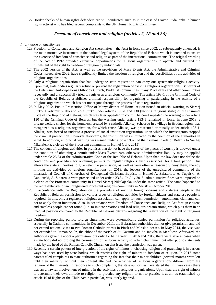122.Border checks of human rights defenders are still conducted, such as in the case of Liavon Sudalienka, a human rights activist who has filed several complaints to the UN Human Rights Committee.

# *Freedom of conscience and religion (articles 2, 18 and 26)*

- 123.Freedom of Conscience and Religion Act (hereinafter the Act) in force since 2002, as subsequently amended, is the main normative instrument in the national legal system of the Republic of Belarus which is intended to ensure the exercise of freedom of conscience and religion as part of the international commitments. The original wording of the Act of 1992 provided extensive opportunities for religious organizations to operate and ensured the fulfillment of the right to freedom of religion by individuals.
- 124.The 2002 version of the Act, as well as the provisions of Mass Events Act, the Administrative and Criminal Codes, issued after 2002, have significantly limited the freedom of religion and the possibilities of the activities of religious organizations.
- 125.Only a religious organization that has undergone state registration can carry out systematic religious activity. Upon that, state bodies regularly refuse or prevent the registration of existing religious organizations. Believers of the Belarusian Autocephalous Orthodox Church, Buddhist communities, many Protestants and other communities repeatedly and unsuccessfully tried to register as a religious community. The article 193-1 of the Criminal Code of the Republic of Belarus establishes criminal responsibility for organizing or participating in the activity of a religious organization which has not undergone through the process of state registration.
- 126.In May 2012, Public Prosecution Office of Mozyr district of Homel region issued an official warning to Siarhej Suzko, Uladzimir Suzko and Zoja Suzko under articles 193-1 and 130 (inciting religious strife) of the Criminal Code of the Republic of Belarus, which was later appealed in court. The court repealed the warning under article 130 of the Criminal Code of Belarus, but the warning under article 193-1 remained in force. In June 2013, a private welfare shelter for the homeless, created by a catholic Aliaksej Schadrou in a village in Hrodna region, was recognized as a religious organization, for which cause Aliaksej was prosecuted criminally under article 193-1. Aliaksej was forced to undergo a process of social institution registration, upon which the investigators stopped the criminal prosecution. However afterwards, the institution was eliminated by the coercion of the authorities in 2014. In addition, an official warning was issued under article 193-1 of the Criminal Code of Belarus to Siarhej Nikalajenka, a clergy of the Protestant community in Homel (July, 2015).
- 127.The conduct of religious activities in premises that do not have the status of the places of worship is allowed under the condition of obtaining a permit under Mass Events Act, otherwise administrative liability may be applied under article 23.34 of the Administrative Code of the Republic of Belarus. Upon that, the law does not define the conditions and procedure for obtaining permits for regular religious events (services) for a long period. This allows the state authorities to give selective permission, as well as very often unreasonably deny them, thereby limiting the activities of religious organizations. In 2013, the leaders of the unregistered community of the International Council of Churches of Evangelical Christians-Baptists in Homel A. Zalatariou, A. Tupalski, A. Danileuski, A. Sidarenka were prosecuted under article 23.34. In July 2015, administrative fines were imposed on a cleric of the Protestant community in Homel Siarhej Nikalajenka under the same article. The same happened to the representatives of an unregistered Protestant religious community in Minsk in October 2016.
- 128.In accordance with the Regulation on the procedure of inviting foreign citizens and stateless people to the Republic of Belarus, permission for various types of religious activities by foreign citizens and stateless people is required. In this, only a registered religious association can apply for such permission; autonomous claimants can not to apply for an invitation. Also, in accordance with Freedom of Conscience and Religion Act foreign citizens and stateless people cannot found (i. e. to initiate creation) and lead religious organizations, which puts them in an unequal position compared to the Republic of Belarus citizens regarding the realization of the right to religious freedom.
- 129.During the reporting period, foreign churchmen were systematically denied permission for religious activities, especially in Catholic communities. In December 2011, the Belarusian authorities did not give permission and did not extend national visas to two Roman Catholic priests in Pinsk and Minsk dioceses. In May 2014, the visa was not extended to Raman Shulz, the abbot of the parish of St. Kasimir and St. Jadviha in Mahiliow. Afterward, the authorities gave the abbot a permission, but only for half a year. In 2016 and 2017, there were several cases when a state body did not prolong the permission for religious activity to Polish churchmen, but after public statements made by the head of the Roman Catholic Church on that issue the permission was given.
- 130.Recently a certain pattern of interpretation of the rights of minors in choosing religion and practicing it in various ways has been used by state bodies, which restricts the right of minors to freedom of religion. In 2017 some parents filed complaints to state authorities regarding the fact that their minor children (several months were left until their maturity) without their consent attended the activities of religious organizations different from the religion of their parents. In response to such complaints, the state authorities have stated that in these cases there was an unlawful involvement of minors in the activities of religious organizations. Upon that, the right of minors to determine their own attitude to religion, to practice any religion or not to practice it at all, as established by article 10 of Rights of the Child Act in particular, was utterly ignored.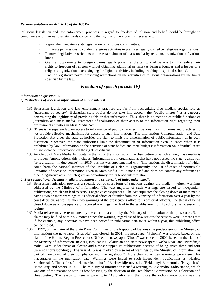#### *Recommendations on Article 18 of the ICCPR*

Religious legislation and law enforcement practices in regard to freedom of religion and belief should be brought in compliance with international standards concerning the right, and therefore it is necessary to:

- Repeal the mandatory state registration of religious communities.
- Eliminate permissions to conduct religious activities in premises legally owned by religious organizations.
- Remove legislative restrictions on the establishment of mass media by religious organizations of various kinds.
- Grant an opportunity to foreign citizens legally present at the territory of Belarus to fully realize their rights to freedom of religion without obtaining additional permits (as being a founder and a leader of a religious organization, exercising legal religious activities, including teaching in spiritual schools).
- Exclude legislative norms providing restrictions on the activities of religious organizations by the limits specified by the law.

# *Freedom of speech (article 19)*

#### *Information on question 29 a) Restrictions of access to information of public interest*

- 131.Belarusian legislation and law enforcement practices are far from recognizing free media's special role as "guardians of society". Belarusian state bodies do not take into account the "public interest" as a category determining the legitimacy of providing this or that information. Thus, there is no mention of public functions of journalists and mass media, guarantees of realization of their access to the information right regarding their professional activities in Mass Media Act.
- 132. There is no separate law on access to information of public character in Belarus. Existing norms and practices do not provide effective mechanisms for access to such information. The Information, Computerization and Data Protection Act gives the state authorities the right to limit the dissemination of public information at its own discretion. Moreover, the state authorities limit the dissemination of information even in cases when it is prohibited by law: information on the activities of state bodies and their budgets; information on individual cases of law violation; information on the rights of citizens.
- 133.Article 38 of Mass Media Act contains the list of the information, the distribution of which among mass media is forbidden. Among others, this includes "information from organizations that have not passed the state registration (re-registration) in due course". In 2016, this list was supplemented with "information, the dissemination of which could harm the national interests of the Republic of Belarus". Significantly, the list of cases of permissible limitation of access to information given in Mass Media Act is not closed and does not contain any reference to other "legislative acts", which gives an opportunity for its broad interpretation.

## *b) State control over the mass media, harassment and censorship of independent media*

- 134.Belarusian legislation provides a specific out-of-court form of sanctions against the media written warnings addressed by the Ministry of Information. The vast majority of such warnings are issued to independent publications, which can lead to serious negative consequences. The Act stipulates the closing down of mass media having two or more warnings to its editorial office or founder from the Ministry of Information over a year by the court decision, as well as after two warnings of the prosecutor's office to its editorial officers. The threat of being closed down as a consequence of received warnings may lead to the establishment of the editors' self-censorship regime.
- 135.Media release may be terminated by the court on a claim by the Ministry of Information or the prosecutor. Such claims may be filed within six months since the warning, regardless of how serious the reasons were. It means that if, for example, any inaccuracies have been noticed in publication data twice within a year, this publishing office can be closed.
- 136.In 1997, on the claim of the State Press Committee of the Republic of Belarus (the predecessor of the Ministry of Information) the newspaper "Svaboda" was closed; in 2001, the newspaper "Pahonia" was closed, based on the claim of the Hrodna Region Prosecutor's Office; the newspaper "Zhoda" was closed in 2006, based on the claim of the Ministry of Information. In 2011, two leading Belarusian non-state newspapers "Nasha Niva" and "Narodnaja Volia" were under threat of closure and almost stopped its publications because of being given three and four warnings correspondingly. The year 2015 was marked by a series of warnings by the Ministry of Information "as part of monitoring of their compliance with the legislation". More than 20 written warnings were issued for inaccuracies in the publication data. Warnings were issued to such independent publications as "Hazieta Slonimskaja", "Intex-Press", "Hantsavitski chas", "Borisovskije novosti", "Reklamnyj Borzhomi", "Novy chas", "Nash kraj" and others. In 2011 The Ministry of Information issued a warning to "Avtoradio" radio station, which was one of the reasons to stop its broadcasting by the decision of the Republican Commission on Television and Broadcasting. The reason to issue a warning to "Avtoradio" and then close the radio station down was the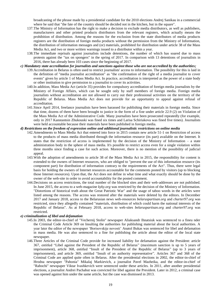broadcasting of the phrase made by a presidential candidate for the 2010 elections Andrej Sanikau in a commercial where he said that "the fate of the country should be decided not in the kitchen, but in the square".

- 137.The Ministry of Information has the right to make a decision to exclude media distributors, as well as publishers, manufacturers and other printed products distributors from the relevant registers, which actually means the prohibition of distribution. Among the reasons for the exclusion from the state distributors of media products registers are the distribution of foreign media products without the permission from the Ministry of Information, the distribution of information messages and (or) materials, prohibited for distribution under article 38 of the Mass Media Act, and two or more written warnings issued to a distributor within a year.
- 138.The immediate reprisals against journalists include detentions, the number of which has soared due to mass protests against the "tax on spongers" in the spring of 2017. In comparison with 13 detentions of journalists in 2016, there has already been 103 cases since the beginning of 2017.

## *c) Mandatory state accreditation for journalists and sanctions against those who are not accredited by the authorities;*

- 139.Accreditation in Belarus is often used to restrict journalists' access to information. The possibility for this is laid in the definition of "media journalist accreditation" as "the confirmation of the right of a media journalist to cover events" given by article 1 of Mass Media Act. In practice, accreditation is interpreted as the power of a state body or other institution to give permission to a journalist to cover its activities.
- 140.In addition, Mass Media Act (article 35) provides for compulsory accreditation of foreign media journalists by the Ministry of Foreign Affairs, which can be sought only by staff members of foreign media. Foreign media journalists without accreditation are not allowed to carry out their professional activities on the territory of the Republic of Belarus. Mass Media Act does not provide for an opportunity to appeal against refusal of accreditation.
- 141.Since April 2014, freelance journalists have been harassed for publishing their materials in foreign media. Since that time, dozens of them have been brought to justice in the form of a fine under article 22.9 (2) on Violation of the Mass Media Act of the Administrative Code. Many journalists have been prosecuted repeatedly (for example, only in 2017 Kanstantsin Zhukouski was fined six times and Larisa Schiriakova was fined five times). Journalists were held accountable because their materials have been published in foreign media.

## *d) Restrictions on the freedom of expression online and additional journalistic restrictions on online media*

- 142.Amendments to Mass Media Act that entered into force in 2015 contain new article 51-1 on Restriction of access to the products of mass media distributed through the information resource (its part) available on the Internet. It states that the restriction of access is implemented by the decision of the Ministry of Information – a state administration body in the sphere of mass media. It's possible to restrict access even for a single violation within three months since finding a case for such action. Moreover, there is no mention of the possibility of judicial appeal.
- 143.With the adoption of amendments to article 38 of the Mass Media Act in 2015, the responsibility for content is extended to the owners of Internet resources, who are obliged to "prevent the use of this information resource (its component part) for distribution of information contrary to the requirements of the Act". Thus, there were legal basis for holding the owners of Internet resources accountable for the comments posted by visitors (up to blocking those Internet resources). Upon that, the Act does not define in what time and what exactly should be done by the owner of the web-site in order to avoid accountability for the posted comment.
- 144.Decisions on access restrictions, the total number of the blocked sites and their web-addresses are not published. In June 2015, the access to a web-magazine *kyky.org* was restricted by the decision of the Ministry of Information. "Distortions of historical truth about the Great Patriotic War" and the usage of taboo words in the articles were listed among the reasons. The access was restored after the materials were deleted by the editors. In December 2017 and January 2018, access to the Belarusian news web-resources *belaruspartisan.org* and *charter97.org* was restricted, since they allegedly contained "materials, distribution of which could harm the national interests of the Republic of Belarus". As at February 2018, access to web-sites *belaruspartisan.org* and *charter97.org* was restricted.

## *e) criminalization of libel and defamation*

- 145.In 2003, the editor-in-chief of "Vechernij Stolin" newspaper Aliaksandr Ihnatsiuk was sentenced to a fineu nder the Criminal Code Article 369 on Insulting the authorities for publishing material about the local authorities. A year later the editor of the newspaper 'Borisovskije novosti' Anatol Bukas was sentenced for libel and defamation in mass media. He was also sentenced to a fine for publishing the article about the editor of the local state newspaper.
- 146.Three Articles of the Criminal Code provide for increased liability for defamation against the President: article 367, entitled "Libel against the President of the Republic of Belarus" (maximum sanction is up to 5 years of imprisonment), article 368, entitled "Insult of the President of the Republic of Belarus" (up to 3 years of imprisonment), and article 369, entitled "Insult of an authority representative". Articles 367 and 368 of the Criminal Code are applied quite often in Belarus. After the presidential elections in 2002, the editor-in-chief of Hrodna newspaper "Pahonia" Mikalaj Markievich, a journalist Pavel Mazheika, and the editor-in-chief of "Rabochi" newspaper Viktar Ivashkevich were sentenced under these articles. In 2011, after another presidential elections, a journalist Andrei Pachabut was convicted for libel against the President. Later in 2012, a criminal case was opened against him under the same article, but the case was dismissed in 2013.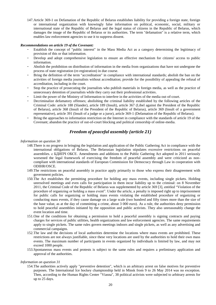147.Article 369-1 on Defamation of the Republic of Belarus establishes liability for providing a foreign state, foreign or international organization with knowingly false information on political, economic, social, military or international state of the Republic of Belarus and the legal status of citizens in the Republic of Belarus, which damages the image of the Republic of Belarus or its authorities. The term "defamation" is a relative term, which enables law enforcement agencies to use it to suppress dissent.

#### *Recommendations on article 19 of the Covenant:*

- Establish the concept of "public interest" in the Mass Media Act as a category determining the legitimacy of provision of this or that information.
- Develop and adopt comprehensive legislation to ensure an effective mechanism for citizens' access to public information.
- Abolish the prohibition on distribution of information in the media from organizations that have not undergone the process of state registration (re-registration) in due course.
- Bring the definition of the term "accreditation" in compliance with international standards; abolish the ban on the activities of foreign media journalists without accreditation; provide for the possibility of appealing the refusal of accreditation, including in the court.
- Stop the practice of prosecuting the journalists who publish materials in foreign media, as well as the practice of unnecessary detention of journalists while they carry out their professional activities.
- Limit the power of the Ministry of Information to interfere in the activities of the media out-of-court.
- Decriminalize defamatory offenses; abolishing the criminal liability established by the following articles of the Criminal Code: article 188 (Slander), article 189 (Insult), article 367 (Libel against the President of the Republic of Belarus), article 368 (Insult of the President of the Republic of Belarus), article 369 (Insult of a government representative), article 391 (Insult of a judge or a juror), article 369-1 (Defamation of the Republic of Belarus).
- Bring the approaches to information restriction on the Internet in compliance with the standards of article 19 of the Covenant; abandon the practice of out-of-court blocking and political censorship of online-media.

# *Freedom of peaceful assembly (article 21)*

## *Information on question 30*

- 148.There is no progress in bringing the legislation and application of the Public Gathering Act in compliance with the international obligations of Belarus. The Belarusian legislation stipulates excessive restrictions on peaceful assemblies. с БДИПЧ ОБСЕ. Amendments and additions to the Public Gathering Act adopted in 2011 seriously worsened the legal framework of exercising the freedom of peaceful assembly and were criticized as noncompliant with international standards of European Commission for Democracy through Law in cooperation with ODIHR/OSCE.
- 149.The restrictions on peaceful assembly in practice apply primarily to those who express their disagreement with government policies.
- 150.The Act establishes the permitting procedure for holding any mass events, including single pickets. Holding unresolved meetings and even calls for participation in them incur liability up to the criminal: on 8 November 2011, the Criminal Code of the Republic of Belarus was supplemented by article 369 [3], entitled "Violation of the procedure of organizing or holding a mass event". Under the article, a penalty is imposed right up to imprisonment for public calls for organizing or holding mass events violating the established procedure of organizing or conducting mass events, if they cause damage on a large scale (two hundred and fifty times more than the size of the base value, as at the day of committing a crime, about 3 000 euro). As a rule, the authorities deny permission to hold peaceful assemblies initiated by the opposition and public activists. They also unreasonably change the event location and time.
- 151.One of the conditions for obtaining a permission to hold a peaceful assembly is signing contracts and paying charges for services of public utilities, health organizations and law enforcement agencies. The same requirements apply to single pickets. The same rules govern meetings indoors and single pickets, as well as any advertising and commercial campaigns.
- 152.The law and the decisions of local authorities determine the locations where mass events are prohibited. These restrictions are not always justifiable, since these very locations are used by the authorities to hold their own mass events. The maximum number of participants in events organized by individuals is limited by law, and may not exceed 1000 people.
- 153.Spontaneous mass events and protests is subject to the same rules and requires a preliminary application and approval of the authorities.

#### *Information on question 31*

154.The authorities actively apply "preventive detention", which is an arbitrary arrest on false motives for preventive purposes. The International Ice hockey championship held in Minsk from 9 to 26 May 2014 was no exception. Then, according to the Human Rights Center "Viasna", 38 political activists were subjected to arbitrary arrests for up to 25 days.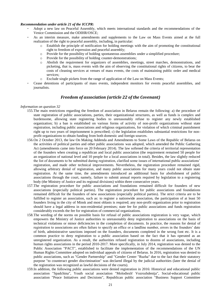#### *Recommendation under article 21 of the ICCPR:*

- Adopt a new law on Peaceful Assembly, which meets international standards and the recommendations of the Venice Commission and the ODIHR/OSCE;
- As an interim measure, make amendments and supplements to the Law on Mass Events aimed at the full realization of the right to peaceful assembly, including, in particular:
	- o Establish the principle of notification for holding meetings with the aim of promoting the constitutional right to freedom of expression and peaceful assembly;
	- $\circ$  Provide for the possibility of holding spontaneous assemblies under a simplified procedure;
	- o Provide for the possibility of holding counter-demonstrations;
	- o Abolish the requirement for organizers of assemblies, meetings, street marches, demonstrations, and picketing, that is, mass events with the aim of observing the constitutional rights of citizens, to bear the costs of cleaning services at venues of mass events, the costs of maintaining public order and medical services;
	- o Exclude single pickets from the range of application of the Law on Mass Events;
- Cease detentions of participants of mass events, independent monitors for events peaceful assemblies, and journalists.

# *Freedom of association (article 22 of the Covenant)*

- 155.The main restrictions regarding the freedom of association in Belarus remain the following: a) the procedure of state registration of public associations, parties, their organizational structures, as well as funds is complex and burdensome, allowing state registering bodies to unreasonably refuse to register any newly established organization; b) a ban is established on various forms of activity of non-profit organizations without state registration, including public associations and religious organizations, for violation of which criminal punishment right up to two years of imprisonment is prescribed; c) the legislation establishes substantial restrictions for nonprofit organizations to obtain funding from both domestic and foreign sources.
- 156.On 2 October 2013, the law On Making Addenda and Amendments to Some Laws of the Republic of Belarus on the activities of political parties and other public associations was adopted, which amended the Public Gathering Act (amendments came into force on 20 February 2014). The law softened the criteria of territorial representation of the founders when creating a republican and local public association (the requirement remained 50 people for an organization of national level and 10 people for a local associations in total). Besides, the law slightly reduced the list of documents to be submitted during registration, clarified some issues of international public associations' registration, and made other technical improvements. Nevertheless, the registration procedure remained rigid, allowing arbitrary denial of registration, and many public associations for many years could not obtain state registration. At the same time, the amendments introduced an additional basis for abolishment of public associations through the court, namely, failure to submit annual reports required by legislation to a registering body (the Ministry of Justice and its regional divisions) within three consecutive years.
- 157.The registration procedure for public associations and foundations remained difficult for founders of new associations (especially political parties). The registration procedure for public associations and foundations remained difficult for the founders of new associations (especially political parties). The strict criteria are to be fulfilled to register an association, such as: to register a nationwide association, the participation of at least 50 founders living in the city of Minsk and most oblasts is required; any non-profit organization prior to registration should have a legal address in non-residential premises; state fee for public associations and funds registration considerably exceeds the fee for registration of commercial organizations.
- 158.The wording of the norms on possible basis for refusal of public associations registration is very vague, which empowers the Ministry of Justice authorities to unreasonably deny registration to associations on the basis of technical violations or minor deficiencies in the completion of documents. In practice, the reasons for denial of registration to associations are often failure to specify an office or a landline number, errors in the founders' date of birth, administrative sanctions imposed on the founders, documents completed in the wrong font etc. It is a common practice to deny registration to a public association based on the fact that it has operated as an unregistered organization. As a result, the authorities refused registration to dozens of associations, including human rights associations in the period 2010-2017. More specifically, in July 2014, registration was denied to the Public Association "PACT", established to facilitate the implementation of the recommendations of the UN Human Rights Committee adopted on individual appeals of citizens of Belarus. In 2016, registration was denied to public associations, such as "Gender Partnership" and "Gender Center "Ruzha" due to the fact that their statutory purpose "to counteract gender discrimination" was declared illegal by the judicial authorities (later the denial of the registration was recognized as lawful decisions of the courts).
- 159.In addition, the following public associations were denied registration in 2016: Historical and educational public association "Spadchina", Youth social association "Molodiezh' Vozrozhdenija", Social-educational public association "Peace Initiatives and Decisions", Republican public association "Business Support Committee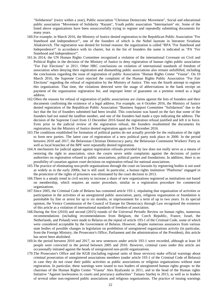"Solidarnost" (twice within a year), Public association "Christian Democratic Movement", Social and educational public association "Movement of Solidarity "Razam", Youth public association "Intermarium" etc. Some of the listed above organizations have been unsuccessfully trying to register and repeatedly submitting documents for many years.

- 160.For example, in March 2016, the Ministry of Justice denied registration to the Republican Public Association "For Statehood and Independence!", one of the founders of which is the Nobel laureate in literature Sviatlana Aliaksievich. The registration was denied for formal reasons: the organization is called "RPA "For Statehood and Independence!" in accordance with its charter, but in the list of founders the name is indicated as "PA "For Statehood and Independence!".
- 161.In 2014, the UN Human Rights Committee recognized a violation of the international Covenant on Civil and Political Rights in the decision of the Ministry of Justice to deny registration of human rights public association "For Fair Elections" in 2011. Other HRC conclusions on violation of international standards of freedom of association when denying their registration and dismantling public associations also remain unfulfilled, including the conclusions regarding the issue of registration of public Association "Human Rights Center "Viasna". On 10 March 2016, the Supreme Court rejected the complaint of the Human Rights Public Association "For Fair Elections" regarding the refusal of registration by the Ministry of Justice. This was the fourth attempt to register this organization. That time, the violations detected were the usage of abbreviations in the bank receipt on payment of the organization registration fee, and improper letter of guarantee on a premise rented as a legal address.
- 162.Often the reasons for refusal of registration of public associations are claims against the lists of founders and their documents confirming the existence of a legal address. For example, on 4 October 2016, the Ministry of Justice denied registration of the Republican Public Association "Business Support Committee "Solidarnost" due to the fact that the list of founders submitted had been invalid. This conclusion was based on the fact that some of the founders had not stated the landline number, and one of the founders had made a typo indicating the address. The decision of the Supreme Court from 13 December 2016 found the registration refusal justified and left it in force. Even prior to the judicial review of the registration refusal, the founders resubmitted the documents for registration, but the Ministry of Justice denied registration again on 9 December 2016.
- 163.The conditions established for formation of political parties do not actually provide for the realization of the right to form new parties. The latest case of registration of a new political party took place in 2000. In the period between 2010 and 2017, the Belarusian Christian Democracy party, the Belarusian Communist Workers' Party as well as local branches of the BPF were repeatedly denied registration.
- 164.A mechanism for judicial appeal against registration refusals provided by law does not really serve as a means of restoring the right to association, since the courts never settle complaints against the decisions of justice authorities on registration refused to public associations, political parties and foundations. In addition, there is no possibility of cassation against court decisions on registration refusal for national associations.
- 165.The practice of eliminating non-profit organizations through the court on lawsuits by registering bodies is not used as widely as in the early 2000s, but is still used. In particular, a human rights institution "Platforma" engaged in the protection of the rights of prisoners was eliminated by the court decision in 2013.
- 166.There is a steady trend in civil society to increase a share of new organizations registered as institutions not based on membership, which requires an easier procedure, similar to a registration procedure for commercial organizations.
- 167.Since 2005, the Criminal Code of Belarus has contained article 193-1, stipulating that organization of activities or participation in the activities of an unregistered public association, party, religious organization or foundation is punishable by fine or arrest for up to six months, or imprisonment for a term of up to two years. In its special opinion, the Venice Commission of the Council of Europe for Democracy through Law recognized the existence of this article as a violation of international standards of freedom of association.
- 168.During the first (2010) and second (2015) rounds of the Universal Periodic Review on human rights, numerous recommendations (including recommendations from Belgium, the Czech Republic, France, Israel, the Netherlands, and Poland) were made to Belarus on the repeal of article 193-1 of the Criminal Code, some of which were considered acceptable by the Government of Belarus. However, despite numerous assurances from various state bodies of possible changes in legislation on prohibition of unregistered organizations activity (in particular, from the Foreign Ministry, the Prosecutor's Office, Parliament and the administration of the President), this article has never been abolished.
- 169.In the period between 2010 and 2017, no new sentences under article 193-1 were recorded, although at least 18 people were convicted in the period between 2005 and 2010. However, criminal cases under this article are occasionally initiated against the heads of unregistered non-profit organizations.
- 170.The Prosecutor's Office and the KGB (including regional units of those services) make official warnings about criminal prosecution of unregistered associations members (under article 193-1 of the Criminal Code of Belarus) in case they do not cease their public activities as public associations or religious organizations without state registration. In particular, these warnings were issued to two leaders of unregistered human rights groups: to the chairman of the Human Rights Center "Viasna" Ales Byalyatski in 2011, and to the head of the Human rights Initiative "Against lawlessness in courts and procuracy authorities" Tamara Siarhej in 2013, as well as to leaders of several other non-registered public associations and religious organizations. The practice of issuing warnings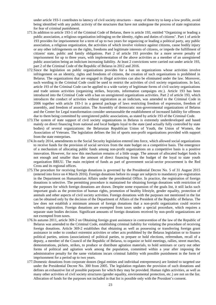under article 193-1 contributes to latency of civil society structures – many of them try to keep a low profile, avoid being identified with any public activity of the structures that have not undergone the process of state registration for fear of criminal punishment.

- 171.In addition to article 193-1 of the Criminal Code of Belarus, there is article 193, entitled "Organizing or leading a public association, a religious organization infringing on the identity, rights and duties of citizens". Part 1 of article 193 provides for imprisonment for a term of up to two years for organizing or leading a political party, any public association, a religious organization, the activities of which involve violence against citizens, cause bodily injury or any other infringements on the rights, freedoms and legitimate interests of citizens, or impede the fulfillment of citizens' state, public and family obligations. Part 2 of article 193 provides for a more severe penalty of imprisonment for up to three years, with implementation of the above activities as a member of an unregistered public association being an indicium increasing liability. At least 2 convictions were carried out under article 193, part 2 of the Criminal Code of the Republic of Belarus in 2012 and 2016.
- 172.Since the legislation on public organizations provides for a ban on organizations whose activities involve infringement on an identity, rights and freedoms of citizens, the creation of such organizations is prohibited in Belarus. The organizations that are engaged in illegal activities can also be eliminated under the law. Moreover, such wording in the Criminal Code could be used to restrict the activities of civil society organizations. In fact, article 193 of the Criminal Code can be applied to a wide variety of legitimate forms of civil society organizations and trade unions activities (organizing strikes, boycotts, information campaigns etc.). Article 193 has been introduced into the Criminal Code with a ban on unregistered organizations activities. Part 2 of article 193, which introduces the conduct of activities without registration as an indicium, was amended to the Criminal Code in 2006 together with article 193-1 in a general package of laws restricting freedom of expression, freedom of assembly, and freedom of association. The Assembly of democratic non-governmental organizations of Belarus and the Center for Legal transformation consider unreasonable the establishment of increased liability for offenses due to them being committed by unregistered public associations, as stated by article 193 of the Criminal Code.
- 173.The system of state support of civil society organizations in Belarus is extremely underdeveloped and based mainly on direct financing from national and local budgets loyal to the state (and actually fully controlled by state bodies) of several organizations: the Belarusian Republican Union of Youth, the Union of Women, the Association of Veterans. The legislation defines the list of sports non-profit organizations provided with support from the state enterprises.
- 174.In early 2014, amendments to the Social Security legislation entered into force, which allowed social organizations to receive funds for the provision of social services from the state budget on a competitive basis. The emergence of a mechanism of allocating public funds among non-profit organizations on a competitive basis is a positive innovation. However, for now this mechanism remains of a little usage. The amount of allocated budget funds is not enough and smaller than the amount of direct financing from the budget of the loyal to state youth organization BRUU. The main recipient of funds as part of government social-sector procurement is the Red Cross and its regional offices.
- 175.The procedure for receiving foreign donations is governed by the Presidential Decree No. 5 of 31 August 2015 (entered into force on 4 March 2016). Foreign donations before its usage are subjects to mandatory pre-registration in the Department on Humanitarian Affairs under the presidential Office. In practice, the registration of foreign donations is selective. The permitting procedure is maintained for obtaining foreign donations with restriction of the purposes for which foreign donations are drawn. Despite some expansion of the goals list, it still lacks such important goals as the protection of human rights, promotion of healthy lifestyle, gender equality, protection of animals and other aspects of civil society activities. Foreign donations with the purposes not mentioned in the list can be obtained only by the decision of the Department of Affairs of the President of the Republic of Belarus. The law does not establish a minimum amount of foreign donations that a non-profit organization could receive without registration. Foreign donations are exempted from taxes under a special procedure, which requires a separate state bodies decision. Significant amounts of foreign donations received by non-profit organizations are not exempted from taxes.
- 176.In autumn 2011, article 369-2 on Obtaining foreign grant assistance in contravention of the law of the Republic of Belarus was amended to the Criminal Code, establishing criminal liability for violating the procedure of receiving foreign donations. Article 369-2 establishes that obtaining as well as possessing or transferring foreign grant assistance in order to conduct extremist activities or other acts prohibited by the Belarus legislation or to finance political parties, unions (associations) of political parties, to prepare or hold elections, referendum, recall of a deputy, a member of the Council of the Republic of Belarus, to organize or hold meetings, rallies, street marches, demonstrations, pickets, strikes, to produce or distribute agitation materials, to hold seminars or carry out other forms of political and agitation work among the population, committed within a year after imposing the administrative penalty for the same violations incurs criminal liability with possible punishment in the form of imprisonment for a period up to two years.
- 177.Domestic donations from corporate donors (legal entities and individual entrepreneurs) are limited to targeted use under the Presidential Decree No. 300 from 2005. The legislation regulates the provision of such donations and defines an exhaustive list of possible purposes for which they may be provided. Human rights activities, as well as many other activities of civil society structures (gender equality, environmental protection, etc.) are not on the list. Allocation of funds for the purposes not included in that list is possible only with the President's consent.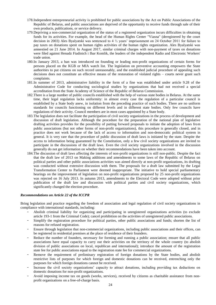- 178.Independent entrepreneurial activity is prohibited for public associations by the Act on Public Associations of the Republic of Belarus, and public associations are deprived of the opportunity to receive funds through sale of their own products, publications, or service delivery.
- 179.Depriving a non-commercial organization of the status of a registered organization incurs difficulties in obtaining funds for its activities. For example, the head of the Human Rights Center "Viasna" (deregistered by the court decision in 2003) Ales Byalyatski was sentenced to 4 ½ years' imprisonment on 24 October 2011 for failure to pay taxes on donations spent on human rights activities of the human rights organization. Ales Byalyatski was amnestied on 21 June 2014. In August 2017, similar criminal charges with non-payment of taxes on donations were filed against Henadz Fiadinich i Ihar Komlik, the leaders of the independent Radio and Electronic Workers' trade union.
- 180.In January 2013, a ban was introduced on founding or leading non-profit organizations of certain forms for persons placed on the KGB or MIA watch list. The legislation on preventive accounting empowers the State authorities to put citizens on such record unreasonably, and the established judicial procedure of appealing such decisions does not constitute an effective means of the restoration of violated rights – courts never grant such complaints.
- 181.In summer of 2013, administrative liability in the form of a fine was established under article 9.28 of the Administrative Code for conducting sociological studies by organizations that had not received a special accreditation from the State Academy of Science of the Republic of Belarus Commission.
- 182.There is a large number of public councils established with the help of various state bodies in Belarus. At the same time, their legal regulation lacks uniformity: in almost every case the regulation of a particular council is established by a State body anew, in isolation from the preceding practice of such bodies. There are no uniform standards for councils functioning on different levels and in different state bodies. Only few councils have regulations of their activity. Council members are in most cases appointed by a State body.
- 183.The legislation does not facilitate the participation of civil society organizations in the process of development and discussion of draft legislation. Although the procedure for the preparation of the national plan of legislative drafting activities provides for the possibility of putting forward proposals to initiate the adoption of laws from public associations (but not other forms of non-profit organizations), this procedure is generally closed, and in practice does not work because of the lack of access to information and non-democratic political system in general. It is very rare that the procedure of public discussion of draft laws is initiated by the state. Despite the access to information being guaranteed by the Constitution, only a few civil society organizations are invited to participate in the discussions of the draft laws. Even the civil society organizations involved in the discussion generally do not get information on whether their recommendations have been taken into account.
- 184.The discussion of draft laws affecting the interests of non-profit organizations is still non-public. Despite the fact that the draft law of 2013 on Making additions and amendments to some laws of the Republic of Belarus on political parties and other public associations activities was aimed directly at non-profit organizations, its drafting was conducted without extensive discussion with them. The proposals for a draft law submitted by the Legal Transformation Center to Parliament were deemed inappropriate. The initiative to hold special parliamentary hearings on the improvement of legislation on non-profit organizations proposed by 25 non-profit organizations was rejected on 16 July 2013. In autumn 2013, amendments to the Electoral Code were adopted without prior publication of the draft law and discussion with political parties and civil society organizations, which significantly changed the election procedure.

#### *Recommendations on Article 22 of the ICCPR*

Bring legislation and practice regarding the freedom of association and legal regulation of civil society organizations in compliance with international standards, including:

- Abolish criminal liability for organizing and participating in unregistered organizations activities (to exclude article 193-1 from the Criminal Code); cancel prohibition on the activities of unregistered public associations.
- Simplify the registration procedure for political parties, other public associations and funds; shorten the list of reasons for refused registration.
- Ensure through legislation that non-commercial organizations, including public associations and their offices, can be registered in residential premises at the place of residence of their founders.
- Reduce the number of founders, necessary for forming and running a public association; ensure that all public associations have equal capacity to carry out their activities on the territory of the whole country (to abolish division of public associations on local, republican and international); introduce the amount of the registration state fee for public associations equal to the registration state fee for commercial organizations.
- Remove the requirement of preliminary registration of foreign donations by the State bodies, and abolish restrictive lists of purposes for which foreign and domestic donations can be received, entrenching only the purposes for which foreign donations cannot be received.
- Increase the civil society organizations' capacity to attract donations, including providing tax deductions on domestic donations for non-profit organizations.
- Avoid imposing income tax on goods (works, services), received by citizens as charitable assistance from nonprofit organizations on a free-of-charge basis.